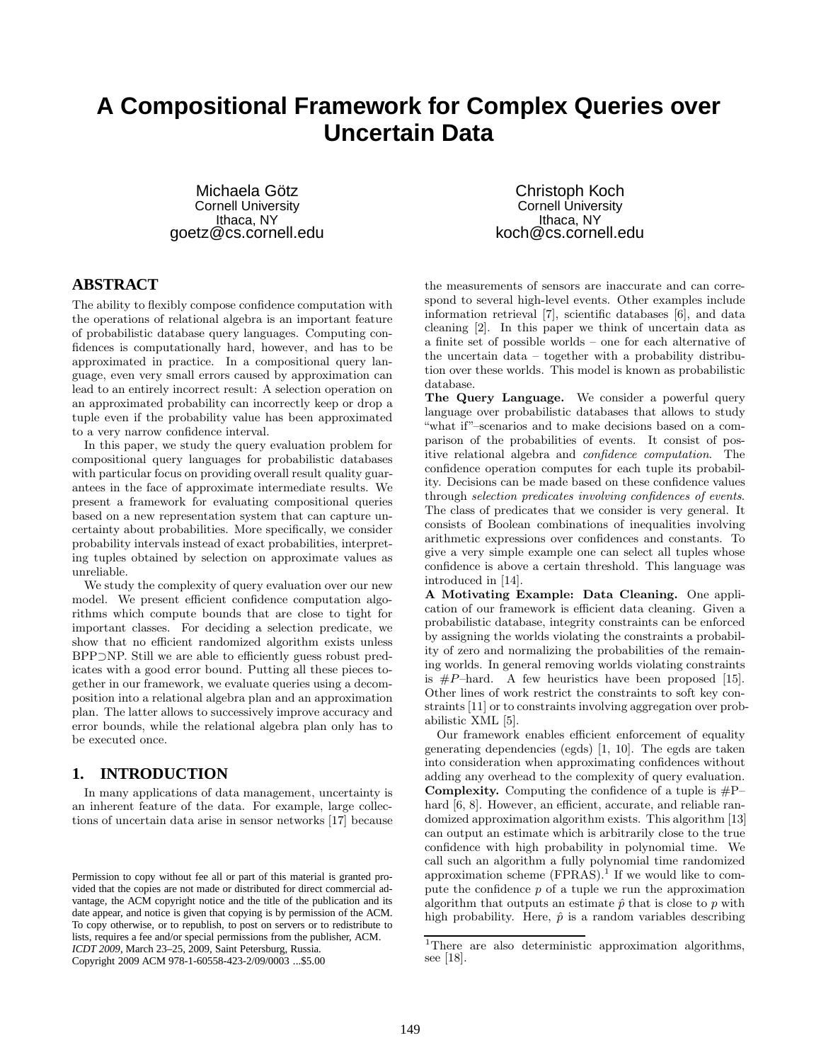# **A Compositional Framework for Complex Queries over Uncertain Data**

Michaela Götz Cornell University Ithaca, NY goetz@cs.cornell.edu

# **ABSTRACT**

The ability to flexibly compose confidence computation with the operations of relational algebra is an important feature of probabilistic database query languages. Computing confidences is computationally hard, however, and has to be approximated in practice. In a compositional query language, even very small errors caused by approximation can lead to an entirely incorrect result: A selection operation on an approximated probability can incorrectly keep or drop a tuple even if the probability value has been approximated to a very narrow confidence interval.

In this paper, we study the query evaluation problem for compositional query languages for probabilistic databases with particular focus on providing overall result quality guarantees in the face of approximate intermediate results. We present a framework for evaluating compositional queries based on a new representation system that can capture uncertainty about probabilities. More specifically, we consider probability intervals instead of exact probabilities, interpreting tuples obtained by selection on approximate values as unreliable.

We study the complexity of query evaluation over our new model. We present efficient confidence computation algorithms which compute bounds that are close to tight for important classes. For deciding a selection predicate, we show that no efficient randomized algorithm exists unless BPP⊃NP. Still we are able to efficiently guess robust predicates with a good error bound. Putting all these pieces together in our framework, we evaluate queries using a decomposition into a relational algebra plan and an approximation plan. The latter allows to successively improve accuracy and error bounds, while the relational algebra plan only has to be executed once.

# **1. INTRODUCTION**

In many applications of data management, uncertainty is an inherent feature of the data. For example, large collections of uncertain data arise in sensor networks [17] because

Copyright 2009 ACM 978-1-60558-423-2/09/0003 ...\$5.00

Christoph Koch Cornell University Ithaca, NY koch@cs.cornell.edu

the measurements of sensors are inaccurate and can correspond to several high-level events. Other examples include information retrieval [7], scientific databases [6], and data cleaning [2]. In this paper we think of uncertain data as a finite set of possible worlds – one for each alternative of the uncertain data – together with a probability distribution over these worlds. This model is known as probabilistic database.

The Query Language. We consider a powerful query language over probabilistic databases that allows to study "what if"–scenarios and to make decisions based on a comparison of the probabilities of events. It consist of positive relational algebra and *confidence computation*. The confidence operation computes for each tuple its probability. Decisions can be made based on these confidence values through *selection predicates involving confidences of events*. The class of predicates that we consider is very general. It consists of Boolean combinations of inequalities involving arithmetic expressions over confidences and constants. To give a very simple example one can select all tuples whose confidence is above a certain threshold. This language was introduced in [14].

A Motivating Example: Data Cleaning. One application of our framework is efficient data cleaning. Given a probabilistic database, integrity constraints can be enforced by assigning the worlds violating the constraints a probability of zero and normalizing the probabilities of the remaining worlds. In general removing worlds violating constraints is  $\#P$ -hard. A few heuristics have been proposed [15]. Other lines of work restrict the constraints to soft key constraints [11] or to constraints involving aggregation over probabilistic XML [5].

Our framework enables efficient enforcement of equality generating dependencies (egds) [1, 10]. The egds are taken into consideration when approximating confidences without adding any overhead to the complexity of query evaluation. **Complexity.** Computing the confidence of a tuple is  $#P$ hard [6, 8]. However, an efficient, accurate, and reliable randomized approximation algorithm exists. This algorithm [13] can output an estimate which is arbitrarily close to the true confidence with high probability in polynomial time. We call such an algorithm a fully polynomial time randomized approximation scheme  $(FPRAS)^{1}$  If we would like to compute the confidence  $p$  of a tuple we run the approximation algorithm that outputs an estimate  $\hat{p}$  that is close to p with high probability. Here,  $\hat{p}$  is a random variables describing

Permission to copy without fee all or part of this material is granted provided that the copies are not made or distributed for direct commercial advantage, the ACM copyright notice and the title of the publication and its date appear, and notice is given that copying is by permission of the ACM. To copy otherwise, or to republish, to post on servers or to redistribute to lists, requires a fee and/or special permissions from the publisher, ACM. *ICDT 2009*, March 23–25, 2009, Saint Petersburg, Russia.

<sup>&</sup>lt;sup>1</sup>There are also deterministic approximation algorithms, see [18].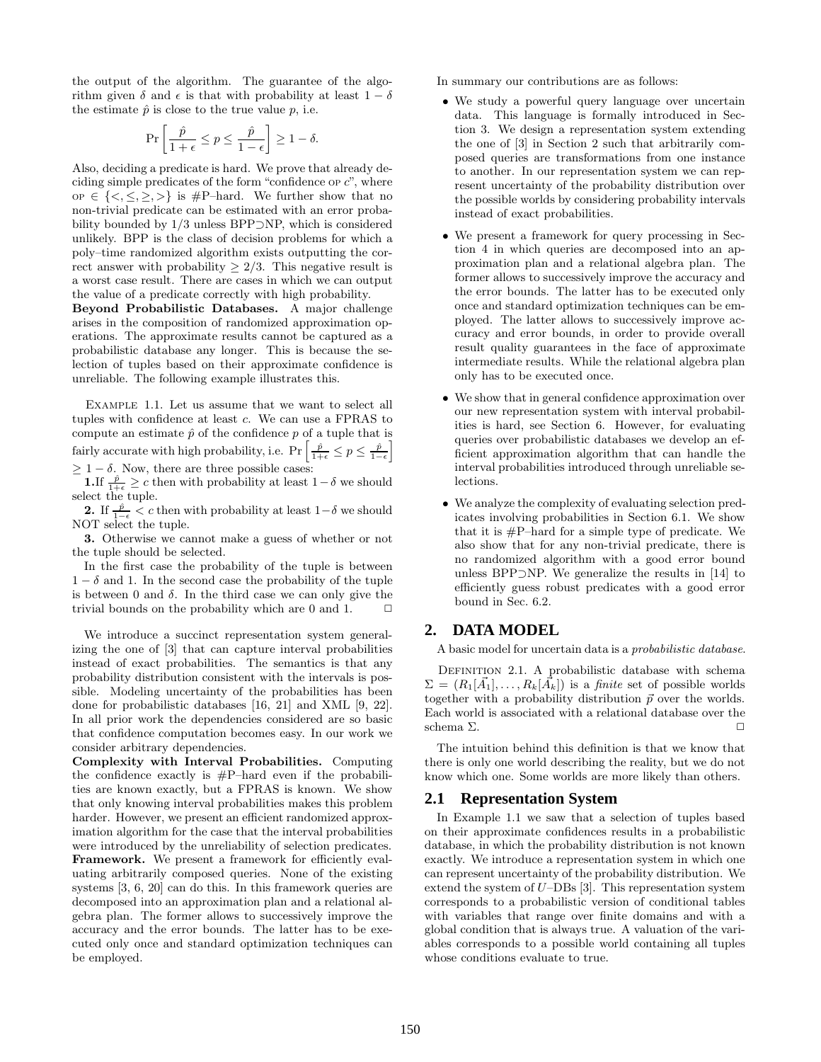the output of the algorithm. The guarantee of the algorithm given  $\delta$  and  $\epsilon$  is that with probability at least  $1 - \delta$ the estimate  $\hat{p}$  is close to the true value p, i.e.

$$
\Pr\left[\frac{\hat{p}}{1+\epsilon} \le p \le \frac{\hat{p}}{1-\epsilon}\right] \ge 1-\delta.
$$

Also, deciding a predicate is hard. We prove that already deciding simple predicates of the form "confidence op  $c$ ", where or ∈  ${ \leq, \leq, \geq, > }$  is #P-hard. We further show that no non-trivial predicate can be estimated with an error probability bounded by 1/3 unless BPP⊃NP, which is considered unlikely. BPP is the class of decision problems for which a poly–time randomized algorithm exists outputting the correct answer with probability  $\geq 2/3$ . This negative result is a worst case result. There are cases in which we can output the value of a predicate correctly with high probability.

Beyond Probabilistic Databases. A major challenge arises in the composition of randomized approximation operations. The approximate results cannot be captured as a probabilistic database any longer. This is because the selection of tuples based on their approximate confidence is unreliable. The following example illustrates this.

Example 1.1. Let us assume that we want to select all tuples with confidence at least c. We can use a FPRAS to compute an estimate  $\hat{p}$  of the confidence p of a tuple that is fairly accurate with high probability, i.e.  $Pr\left[\frac{\hat{p}}{1+\epsilon} \leq p \leq \frac{\hat{p}}{1-\epsilon}\right]$  $\geq 1 - \delta$ . Now, there are three possible cases:

**1.**If  $\frac{\hat{p}}{1+\epsilon}$  ≥ *c* then with probability at least 1 –  $\delta$  we should select the tuple.

**2.** If  $\frac{\hat{p}}{1-\epsilon} < c$  then with probability at least  $1-\delta$  we should NOT select the tuple.

3. Otherwise we cannot make a guess of whether or not the tuple should be selected.

In the first case the probability of the tuple is between  $1 - \delta$  and 1. In the second case the probability of the tuple is between 0 and  $\delta$ . In the third case we can only give the trivial bounds on the probability which are 0 and 1.  $\Box$ 

We introduce a succinct representation system generalizing the one of [3] that can capture interval probabilities instead of exact probabilities. The semantics is that any probability distribution consistent with the intervals is possible. Modeling uncertainty of the probabilities has been done for probabilistic databases [16, 21] and XML [9, 22]. In all prior work the dependencies considered are so basic that confidence computation becomes easy. In our work we consider arbitrary dependencies.

Complexity with Interval Probabilities. Computing the confidence exactly is  $#P$ –hard even if the probabilities are known exactly, but a FPRAS is known. We show that only knowing interval probabilities makes this problem harder. However, we present an efficient randomized approximation algorithm for the case that the interval probabilities were introduced by the unreliability of selection predicates. Framework. We present a framework for efficiently evaluating arbitrarily composed queries. None of the existing systems [3, 6, 20] can do this. In this framework queries are decomposed into an approximation plan and a relational algebra plan. The former allows to successively improve the accuracy and the error bounds. The latter has to be executed only once and standard optimization techniques can be employed.

In summary our contributions are as follows:

- We study a powerful query language over uncertain data. This language is formally introduced in Section 3. We design a representation system extending the one of [3] in Section 2 such that arbitrarily composed queries are transformations from one instance to another. In our representation system we can represent uncertainty of the probability distribution over the possible worlds by considering probability intervals instead of exact probabilities.
- We present a framework for query processing in Section 4 in which queries are decomposed into an approximation plan and a relational algebra plan. The former allows to successively improve the accuracy and the error bounds. The latter has to be executed only once and standard optimization techniques can be employed. The latter allows to successively improve accuracy and error bounds, in order to provide overall result quality guarantees in the face of approximate intermediate results. While the relational algebra plan only has to be executed once.
- We show that in general confidence approximation over our new representation system with interval probabilities is hard, see Section 6. However, for evaluating queries over probabilistic databases we develop an efficient approximation algorithm that can handle the interval probabilities introduced through unreliable selections.
- We analyze the complexity of evaluating selection predicates involving probabilities in Section 6.1. We show that it is #P–hard for a simple type of predicate. We also show that for any non-trivial predicate, there is no randomized algorithm with a good error bound unless BPP⊃NP. We generalize the results in [14] to efficiently guess robust predicates with a good error bound in Sec. 6.2.

# **2. DATA MODEL**

A basic model for uncertain data is a *probabilistic database*.

DEFINITION 2.1. A probabilistic database with schema  $\Sigma = (R_1[\vec{A_1}], \ldots, R_k[\vec{A_k}])$  is a *finite* set of possible worlds together with a probability distribution  $\vec{p}$  over the worlds. Each world is associated with a relational database over the schema  $\Sigma$ .  $\square$ 

The intuition behind this definition is that we know that there is only one world describing the reality, but we do not know which one. Some worlds are more likely than others.

#### **2.1 Representation System**

In Example 1.1 we saw that a selection of tuples based on their approximate confidences results in a probabilistic database, in which the probability distribution is not known exactly. We introduce a representation system in which one can represent uncertainty of the probability distribution. We extend the system of  $U$ –DBs [3]. This representation system corresponds to a probabilistic version of conditional tables with variables that range over finite domains and with a global condition that is always true. A valuation of the variables corresponds to a possible world containing all tuples whose conditions evaluate to true.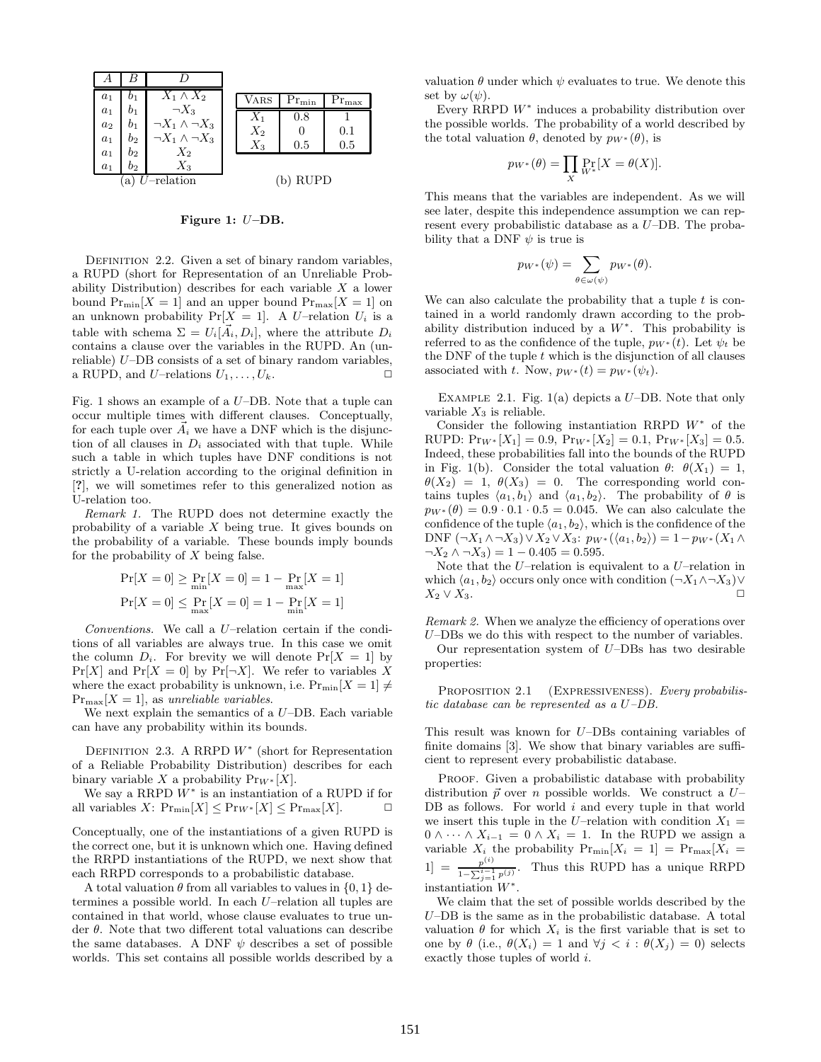

Figure 1: U–DB.

DEFINITION 2.2. Given a set of binary random variables, a RUPD (short for Representation of an Unreliable Probability Distribution) describes for each variable  $X$  a lower bound  $Pr_{min}[X = 1]$  and an upper bound  $Pr_{max}[X = 1]$  on an unknown probability  $Pr[X = 1]$ . A U–relation  $U_i$  is a table with schema  $\Sigma = U_i[\vec{A}_i, D_i]$ , where the attribute  $D_i$ contains a clause over the variables in the RUPD. An (unreliable) U–DB consists of a set of binary random variables, a RUPD, and U–relations  $U_1, \ldots, U_k$ .

Fig. 1 shows an example of a  $U$ –DB. Note that a tuple can occur multiple times with different clauses. Conceptually, for each tuple over  $\vec{A}_i$  we have a DNF which is the disjunction of all clauses in  $D_i$  associated with that tuple. While such a table in which tuples have DNF conditions is not strictly a U-relation according to the original definition in [?], we will sometimes refer to this generalized notion as U-relation too.

*Remark 1.* The RUPD does not determine exactly the probability of a variable  $X$  being true. It gives bounds on the probability of a variable. These bounds imply bounds for the probability of  $X$  being false.

$$
\Pr[X = 0] \ge \Pr_{\text{min}}[X = 0] = 1 - \Pr_{\text{max}}[X = 1]
$$

$$
\Pr[X = 0] \le \Pr_{\text{max}}[X = 0] = 1 - \Pr_{\text{min}}[X = 1]
$$

*Conventions.* We call a U–relation certain if the conditions of all variables are always true. In this case we omit the column  $D_i$ . For brevity we will denote  $Pr[X = 1]$  by  $Pr[X]$  and  $Pr[X = 0]$  by  $Pr[\neg X]$ . We refer to variables X where the exact probability is unknown, i.e.  $Pr_{min}[X = 1] \neq$  $Pr<sub>max</sub>[X = 1]$ , as *unreliable variables*.

We next explain the semantics of a  $U$ –DB. Each variable can have any probability within its bounds.

DEFINITION 2.3. A RRPD  $W^*$  (short for Representation of a Reliable Probability Distribution) describes for each binary variable X a probability  $Pr_{W^*}[X]$ .

We say a RRPD  $W^*$  is an instantiation of a RUPD if for all variables X:  $Pr_{\min}[X] \leq Pr_{W^*}[X] \leq Pr_{\max}[X]$ .  $\Box$ 

Conceptually, one of the instantiations of a given RUPD is the correct one, but it is unknown which one. Having defined the RRPD instantiations of the RUPD, we next show that each RRPD corresponds to a probabilistic database.

A total valuation  $\theta$  from all variables to values in  $\{0, 1\}$  determines a possible world. In each U–relation all tuples are contained in that world, whose clause evaluates to true under  $\theta$ . Note that two different total valuations can describe the same databases. A DNF  $\psi$  describes a set of possible worlds. This set contains all possible worlds described by a valuation  $\theta$  under which  $\psi$  evaluates to true. We denote this set by  $\omega(\psi)$ .

Every RRPD  $W^*$  induces a probability distribution over the possible worlds. The probability of a world described by the total valuation  $\theta$ , denoted by  $p_{W^*}(\theta)$ , is

$$
p_{W^*}(\theta) = \prod_X \Pr_{W^*}[X = \theta(X)].
$$

This means that the variables are independent. As we will see later, despite this independence assumption we can represent every probabilistic database as a  $U$ –DB. The probability that a DNF  $\psi$  is true is

$$
p_{W^*}(\psi) = \sum_{\theta \in \omega(\psi)} p_{W^*}(\theta).
$$

We can also calculate the probability that a tuple  $t$  is contained in a world randomly drawn according to the probability distribution induced by a  $W^*$ . This probability is referred to as the confidence of the tuple,  $p_{W*}(t)$ . Let  $\psi_t$  be the DNF of the tuple  $t$  which is the disjunction of all clauses associated with t. Now,  $p_{W^*}(t) = p_{W^*}(\psi_t)$ .

EXAMPLE 2.1. Fig. 1(a) depicts a  $U$ –DB. Note that only variable  $X_3$  is reliable.

Consider the following instantiation RRPD  $W^*$  of the RUPD:  $Pr_{W^*}[X_1] = 0.9$ ,  $Pr_{W^*}[X_2] = 0.1$ ,  $Pr_{W^*}[X_3] = 0.5$ . Indeed, these probabilities fall into the bounds of the RUPD in Fig. 1(b). Consider the total valuation  $\theta$ :  $\theta(X_1) = 1$ ,  $\theta(X_2) = 1, \ \theta(X_3) = 0.$  The corresponding world contains tuples  $\langle a_1, b_1 \rangle$  and  $\langle a_1, b_2 \rangle$ . The probability of  $\theta$  is  $p_{W*}(\theta) = 0.9 \cdot 0.1 \cdot 0.5 = 0.045$ . We can also calculate the confidence of the tuple  $\langle a_1, b_2 \rangle$ , which is the confidence of the DNF  $(\neg X_1 \land \neg X_3) \lor X_2 \lor X_3$ :  $p_{W^*}(\langle a_1, b_2 \rangle) = 1-p_{W^*}(X_1 \land \neg X_3)$  $\neg X_2 \land \neg X_3$ ) = 1 – 0.405 = 0.595.

Note that the  $U$ –relation is equivalent to a  $U$ –relation in which  $\langle a_1, b_2 \rangle$  occurs only once with condition  $(\neg X_1 \land \neg X_3) \lor$  $X_2 \vee X_3$ .

*Remark 2.* When we analyze the efficiency of operations over U–DBs we do this with respect to the number of variables.

Our representation system of  $U$ –DBs has two desirable properties:

Proposition 2.1 (Expressiveness). *Every probabilistic database can be represented as a* U*–DB.*

This result was known for U–DBs containing variables of finite domains [3]. We show that binary variables are sufficient to represent every probabilistic database.

PROOF. Given a probabilistic database with probability distribution  $\vec{p}$  over n possible worlds. We construct a U– DB as follows. For world  $i$  and every tuple in that world we insert this tuple in the U–relation with condition  $X_1 =$  $0 \wedge \cdots \wedge X_{i-1} = 0 \wedge X_i = 1$ . In the RUPD we assign a variable  $X_i$  the probability  $Pr_{min}[X_i = 1] = Pr_{max}[X_i =$  $1 = \frac{p^{(i)}}{1 - \sum_{i=1}^{i-1}}$  $\frac{p^{(v)}}{1-\sum_{j=1}^{i-1} p^{(j)}}$ . Thus this RUPD has a unique RRPD instantiation  $W^*$ .

We claim that the set of possible worlds described by the U–DB is the same as in the probabilistic database. A total valuation  $\theta$  for which  $X_i$  is the first variable that is set to one by  $\theta$  (i.e.,  $\theta(X_i) = 1$  and  $\forall j \leq i : \theta(X_j) = 0$ ) selects exactly those tuples of world i.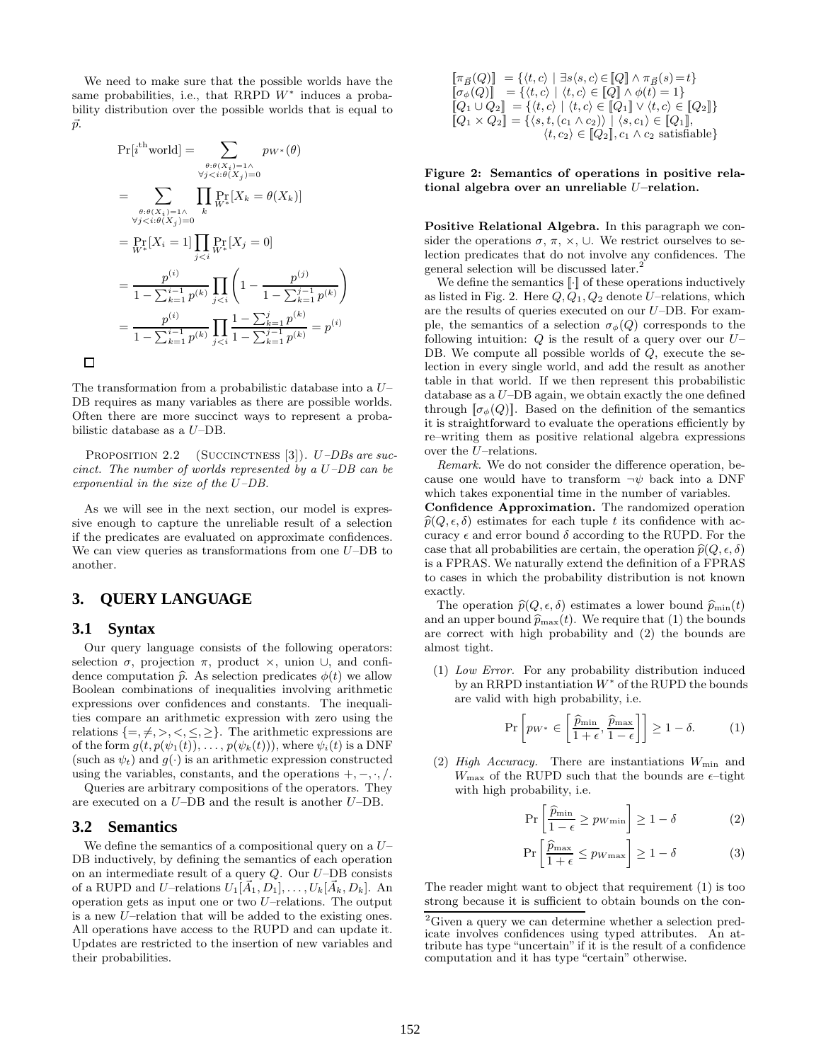We need to make sure that the possible worlds have the same probabilities, i.e., that RRPD  $W^*$  induces a probability distribution over the possible worlds that is equal to  $\vec{p}$ .

$$
Pr[i^{\text{th}} \text{world}] = \sum_{\substack{\theta : \theta(X_i) = 1 \land \\ \forall j < i : \theta(X_j) = 0}} p_{W^*}(\theta)
$$
\n
$$
= \sum_{\substack{\theta : \theta(X_i) = 1 \land \\ \forall j < i : \theta(X_j) = 0}} \prod_{k} Pr[X_k = \theta(X_k)]
$$
\n
$$
= \Pr_{W^*}[X_i = 1] \prod_{j < i} Pr[X_j = 0]
$$
\n
$$
= \frac{p^{(i)}}{1 - \sum_{k=1}^{i-1} p^{(k)}} \prod_{j < i} \left(1 - \frac{p^{(j)}}{1 - \sum_{k=1}^{j-1} p^{(k)}}\right)
$$
\n
$$
= \frac{p^{(i)}}{1 - \sum_{k=1}^{i-1} p^{(k)}} \prod_{j < i} \frac{1 - \sum_{k=1}^{j} p^{(k)}}{1 - \sum_{k=1}^{j-1} p^{(k)}} = p^{(i)}
$$

The transformation from a probabilistic database into a U– DB requires as many variables as there are possible worlds. Often there are more succinct ways to represent a probabilistic database as a U–DB.

PROPOSITION 2.2 (SUCCINCTNESS [3]).  $U$ – $DBs$  are suc*cinct. The number of worlds represented by a* U*–DB can be exponential in the size of the* U*–DB.*

As we will see in the next section, our model is expressive enough to capture the unreliable result of a selection if the predicates are evaluated on approximate confidences. We can view queries as transformations from one  $U$ –DB to another.

### **3. QUERY LANGUAGE**

#### **3.1 Syntax**

 $\Box$ 

Our query language consists of the following operators: selection  $\sigma$ , projection  $\pi$ , product  $\times$ , union  $\cup$ , and confidence computation  $\hat{p}$ . As selection predicates  $\phi(t)$  we allow Boolean combinations of inequalities involving arithmetic expressions over confidences and constants. The inequalities compare an arithmetic expression with zero using the relations  $\{=\neq,>,<,\leq,\geq\}$ . The arithmetic expressions are of the form  $g(t, p(\psi_1(t)), \ldots, p(\psi_k(t)))$ , where  $\psi_i(t)$  is a DNF (such as  $\psi_t$ ) and  $g(\cdot)$  is an arithmetic expression constructed using the variables, constants, and the operations  $+,-, \cdot, /$ .

Queries are arbitrary compositions of the operators. They are executed on a U–DB and the result is another U–DB.

### **3.2 Semantics**

We define the semantics of a compositional query on a  $U-$ DB inductively, by defining the semantics of each operation on an intermediate result of a query  $Q$ . Our  $U$ –DB consists of a RUPD and U–relations  $U_1[A_1, D_1], \ldots, U_k[A_k, D_k]$ . An operation gets as input one or two  $U$ –relations. The output is a new U–relation that will be added to the existing ones. All operations have access to the RUPD and can update it. Updates are restricted to the insertion of new variables and their probabilities.

 $[\![\pi_{\vec{B}}(Q)]\!] = {\langle t, c \rangle \mid \exists s \langle s, c \rangle \in [Q] \land \pi_{\vec{B}}(s) = t}$  $[\![\sigma_{\phi}(Q)]\!] = {\{\langle t, c \rangle \mid \langle t, c \rangle \in [\![Q]\!] \land \phi(t) = 1\}}$  $[Q_1 \cup Q_2] = {\langle t, c \rangle | \langle t, c \rangle \in [Q_1] \vee \langle t, c \rangle \in [Q_2]}$  $[Q_1 \times Q_2] = {\langle \langle s, t, (c_1 \wedge c_2) \rangle | \langle s, c_1 \rangle \in [Q_1],}$  $\langle t, c_2 \rangle \in [Q_2], c_1 \wedge c_2$  satisfiable}

Figure 2: Semantics of operations in positive relational algebra over an unreliable U–relation.

Positive Relational Algebra. In this paragraph we consider the operations  $\sigma$ ,  $\pi$ ,  $\times$ ,  $\cup$ . We restrict ourselves to selection predicates that do not involve any confidences. The general selection will be discussed later.<sup>2</sup>

We define the semantics  $\lbrack \cdot \rbrack$  of these operations inductively as listed in Fig. 2. Here  $Q, Q_1, Q_2$  denote U–relations, which are the results of queries executed on our  $U$ –DB. For example, the semantics of a selection  $\sigma_{\phi}(Q)$  corresponds to the following intuition:  $Q$  is the result of a query over our  $U$ -DB. We compute all possible worlds of  $Q$ , execute the selection in every single world, and add the result as another table in that world. If we then represent this probabilistic database as a  $U$ – $DB$  again, we obtain exactly the one defined through  $[\sigma_{\phi}(Q)]$ . Based on the definition of the semantics it is straightforward to evaluate the operations efficiently by re–writing them as positive relational algebra expressions over the U–relations.

*Remark.* We do not consider the difference operation, because one would have to transform  $\neg \psi$  back into a DNF which takes exponential time in the number of variables.

Confidence Approximation. The randomized operation  $\hat{p}(Q, \epsilon, \delta)$  estimates for each tuple t its confidence with accuracy  $\epsilon$  and error bound  $\delta$  according to the RUPD. For the case that all probabilities are certain, the operation  $\widehat{p}(Q, \epsilon, \delta)$ is a FPRAS. We naturally extend the definition of a FPRAS to cases in which the probability distribution is not known exactly.

The operation  $\widehat{p}(Q, \epsilon, \delta)$  estimates a lower bound  $\widehat{p}_{\min}(t)$ and an upper bound  $\widehat{p}_{\text{max}}(t)$ . We require that (1) the bounds are correct with high probability and (2) the bounds are almost tight.

(1) *Low Error.* For any probability distribution induced by an RRPD instantiation W<sup>∗</sup> of the RUPD the bounds are valid with high probability, i.e.

$$
\Pr\left[ p_{W^*} \in \left[ \frac{\widehat{p}_{\min}}{1+\epsilon}, \frac{\widehat{p}_{\max}}{1-\epsilon} \right] \right] \ge 1-\delta. \tag{1}
$$

(2) *High Accuracy*. There are instantiations  $W_{\text{min}}$  and  $W_{\text{max}}$  of the RUPD such that the bounds are  $\epsilon$ -tight with high probability, i.e.

$$
\Pr\left[\frac{\hat{p}_{\min}}{1-\epsilon} \ge p_{W\min}\right] \ge 1-\delta \tag{2}
$$

$$
\Pr\left[\frac{\widehat{p}_{\max}}{1+\epsilon} \le p_{W\max}\right] \ge 1-\delta \tag{3}
$$

The reader might want to object that requirement (1) is too strong because it is sufficient to obtain bounds on the con-

<sup>2</sup>Given a query we can determine whether a selection predicate involves confidences using typed attributes. An attribute has type "uncertain" if it is the result of a confidence computation and it has type "certain" otherwise.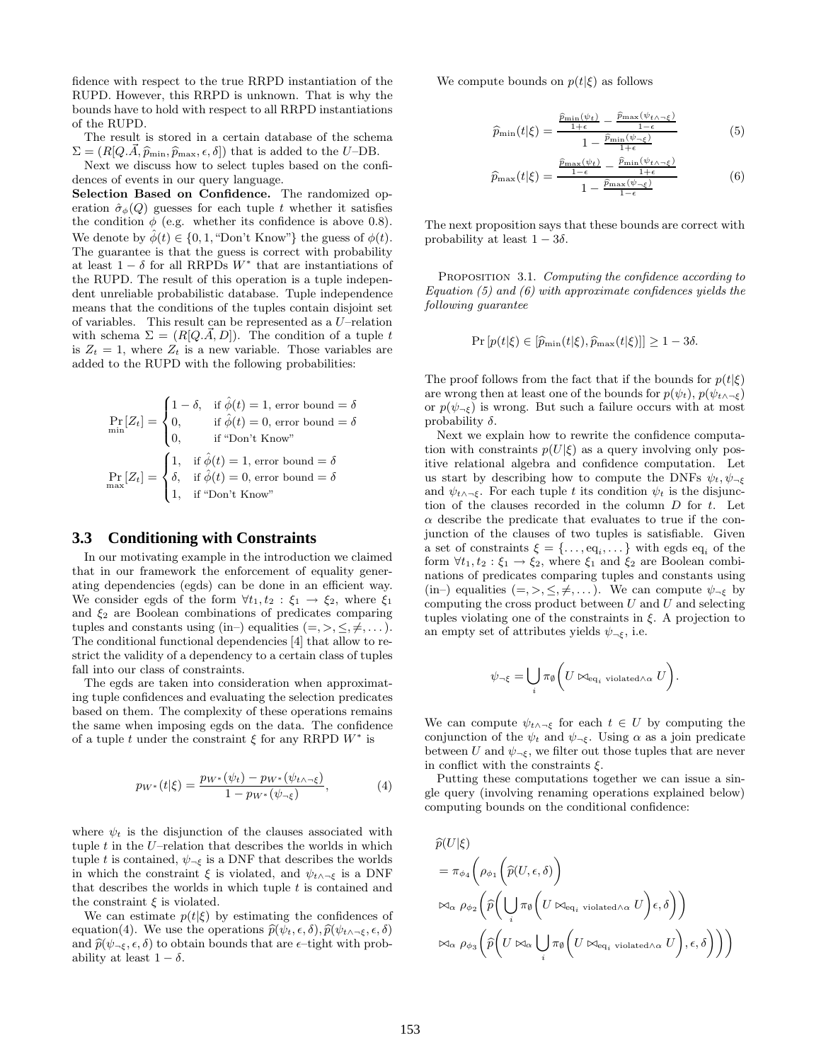fidence with respect to the true RRPD instantiation of the RUPD. However, this RRPD is unknown. That is why the bounds have to hold with respect to all RRPD instantiations of the RUPD.

The result is stored in a certain database of the schema  $\Sigma = (R[Q.A, \hat{p}_{\min}, \hat{p}_{\max}, \epsilon, \delta])$  that is added to the U–DB.

Next we discuss how to select tuples based on the confidences of events in our query language.

Selection Based on Confidence. The randomized operation  $\hat{\sigma}_{\phi}(Q)$  guesses for each tuple t whether it satisfies the condition  $\phi$  (e.g. whether its confidence is above 0.8). We denote by  $\phi(t) \in \{0, 1, \text{``Don't Know''}\}\)$  the guess of  $\phi(t)$ . The guarantee is that the guess is correct with probability at least  $1 - \delta$  for all RRPDs  $W^*$  that are instantiations of the RUPD. The result of this operation is a tuple independent unreliable probabilistic database. Tuple independence means that the conditions of the tuples contain disjoint set of variables. This result can be represented as a  $U$ –relation with schema  $\Sigma = (R[Q.A, D])$ . The condition of a tuple t is  $Z_t = 1$ , where  $Z_t$  is a new variable. Those variables are added to the RUPD with the following probabilities:

$$
\Pr_{\min}[Z_t] = \begin{cases} 1 - \delta, & \text{if } \hat{\phi}(t) = 1 \text{, error bound } = \delta \\ 0, & \text{if } \hat{\phi}(t) = 0 \text{, error bound } = \delta \\ 0, & \text{if } \text{``Don't Know''} \end{cases}
$$

$$
\Pr_{\max}[Z_t] = \begin{cases} 1, & \text{if } \hat{\phi}(t) = 1 \text{, error bound } = \delta \\ \delta, & \text{if } \hat{\phi}(t) = 0 \text{, error bound } = \delta \\ 1, & \text{if } \text{``Don't Know''} \end{cases}
$$

### **3.3 Conditioning with Constraints**

In our motivating example in the introduction we claimed that in our framework the enforcement of equality generating dependencies (egds) can be done in an efficient way. We consider egds of the form  $\forall t_1, t_2 : \xi_1 \rightarrow \xi_2$ , where  $\xi_1$ and  $\xi_2$  are Boolean combinations of predicates comparing tuples and constants using (in–) equalities  $(=,>,\leq,\neq,\dots).$ The conditional functional dependencies [4] that allow to restrict the validity of a dependency to a certain class of tuples fall into our class of constraints.

The egds are taken into consideration when approximating tuple confidences and evaluating the selection predicates based on them. The complexity of these operations remains the same when imposing egds on the data. The confidence of a tuple t under the constraint  $\xi$  for any RRPD  $W^*$  is

$$
p_{W^*}(t|\xi) = \frac{p_{W^*}(\psi_t) - p_{W^*}(\psi_{t \wedge \neg \xi})}{1 - p_{W^*}(\psi_{\neg \xi})},\tag{4}
$$

where  $\psi_t$  is the disjunction of the clauses associated with tuple  $t$  in the  $U$ –relation that describes the worlds in which tuple t is contained,  $\psi_{\neg \xi}$  is a DNF that describes the worlds in which the constraint  $\xi$  is violated, and  $\psi_{t \wedge \neg \xi}$  is a DNF that describes the worlds in which tuple  $t$  is contained and the constraint  $\xi$  is violated.

We can estimate  $p(t|\xi)$  by estimating the confidences of equation(4). We use the operations  $\hat{p}(\psi_t, \epsilon, \delta), \hat{p}(\psi_{t \wedge \neg \xi}, \epsilon, \delta)$ and  $\hat{p}(\psi_{\neg \xi}, \epsilon, \delta)$  to obtain bounds that are  $\epsilon$ -tight with probability at least  $1 - \delta$ .

We compute bounds on  $p(t|\xi)$  as follows

$$
\widehat{p}_{\min}(t|\xi) = \frac{\frac{\widehat{p}_{\min}(\psi_t)}{1+\epsilon} - \frac{\widehat{p}_{\max}(\psi_{t\wedge \neg \xi})}{1-\epsilon}}{1 - \frac{\widehat{p}_{\min}(\psi_{\neg \xi})}{1+\epsilon}} \tag{5}
$$

$$
\widehat{p}_{\max}(t|\xi) = \frac{\frac{\widehat{p}_{\max}(\psi_t)}{1-\epsilon} - \frac{\widehat{p}_{\min}(\psi_{t\wedge -\xi})}{1+\epsilon}}{1 - \frac{\widehat{p}_{\max}(\psi_{-\xi})}{1-\epsilon}} \tag{6}
$$

The next proposition says that these bounds are correct with probability at least  $1 - 3\delta$ .

Proposition 3.1. *Computing the confidence according to Equation (5) and (6) with approximate confidences yields the following guarantee*

$$
\Pr\left[p(t|\xi)\in[\widehat{p}_{\min}(t|\xi),\widehat{p}_{\max}(t|\xi)]\right]\geq 1-3\delta.
$$

The proof follows from the fact that if the bounds for  $p(t|\xi)$ are wrong then at least one of the bounds for  $p(\psi_t)$ ,  $p(\psi_{t \wedge \neg \xi})$ or  $p(\psi_{\neg \xi})$  is wrong. But such a failure occurs with at most probability  $\delta$ .

Next we explain how to rewrite the confidence computation with constraints  $p(U|\xi)$  as a query involving only positive relational algebra and confidence computation. Let us start by describing how to compute the DNFs  $\psi_t, \psi_{\neg \xi}$ and  $\psi_{t\wedge\neg \epsilon}$ . For each tuple t its condition  $\psi_t$  is the disjunction of the clauses recorded in the column  $D$  for  $t$ . Let  $\alpha$  describe the predicate that evaluates to true if the conjunction of the clauses of two tuples is satisfiable. Given a set of constraints  $\xi = \{ \dots, \mathrm{eq}_i, \dots \}$  with egds  $\mathrm{eq}_i$  of the form  $\forall t_1, t_2 : \xi_1 \to \xi_2$ , where  $\xi_1$  and  $\xi_2$  are Boolean combinations of predicates comparing tuples and constants using (in–) equalities (=, >,  $\leq$ ,  $\neq$ , ...). We can compute  $\psi_{\neg \xi}$  by computing the cross product between  $U$  and  $U$  and selecting tuples violating one of the constraints in  $\xi$ . A projection to an empty set of attributes yields  $\psi_{\neg \xi}$ , i.e.

$$
\psi_{\neg \xi} = \bigcup_i \pi_\emptyset \bigg( U \boxtimes_{\text{eq}_i \text{ violated} \land \alpha} U \bigg).
$$

We can compute  $\psi_{t\wedge \neg \xi}$  for each  $t \in U$  by computing the conjunction of the  $\psi_t$  and  $\psi_{\neg \xi}$ . Using  $\alpha$  as a join predicate between U and  $\psi_{\neg \xi}$ , we filter out those tuples that are never in conflict with the constraints  $\xi$ .

Putting these computations together we can issue a single query (involving renaming operations explained below) computing bounds on the conditional confidence:

$$
\hat{p}(U|\xi) \n= \pi_{\phi_4} \left( \rho_{\phi_1} \left( \hat{p}(U,\epsilon,\delta) \right) \right) \n\bowtie_{\alpha} \rho_{\phi_2} \left( \hat{p} \left( \bigcup_i \pi_{\emptyset} \left( U \bowtie_{\text{eq}_i \text{ violated}\wedge\alpha} U \right) \epsilon, \delta \right) \right) \n\bowtie_{\alpha} \rho_{\phi_3} \left( \hat{p} \left( U \bowtie_{\alpha} \bigcup_i \pi_{\emptyset} \left( U \bowtie_{\text{eq}_i \text{ violated}\wedge\alpha} U \right), \epsilon, \delta \right) \right)
$$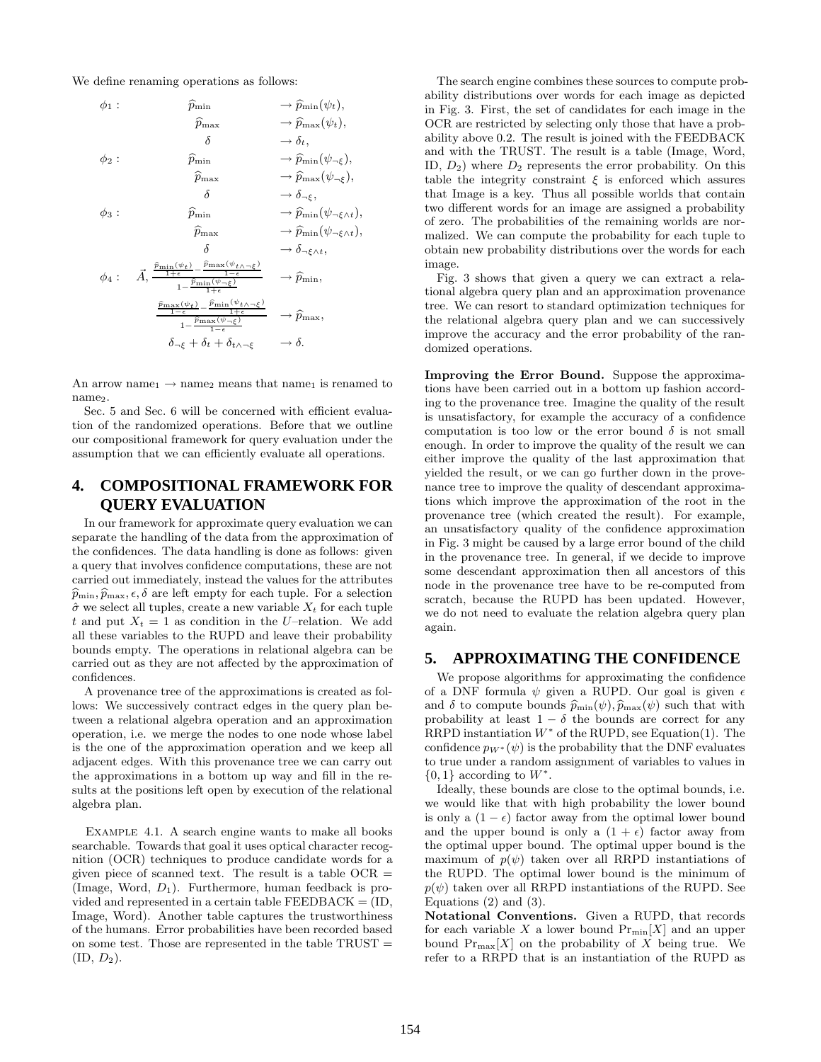We define renaming operations as follows:



An arrow name<sub>1</sub>  $\rightarrow$  name<sub>2</sub> means that name<sub>1</sub> is renamed to name<sub>2</sub>.

Sec. 5 and Sec. 6 will be concerned with efficient evaluation of the randomized operations. Before that we outline our compositional framework for query evaluation under the assumption that we can efficiently evaluate all operations.

# **4. COMPOSITIONAL FRAMEWORK FOR QUERY EVALUATION**

In our framework for approximate query evaluation we can separate the handling of the data from the approximation of the confidences. The data handling is done as follows: given a query that involves confidence computations, these are not carried out immediately, instead the values for the attributes  $\widehat{p}_{\min}, \widehat{p}_{\max}, \epsilon, \delta$  are left empty for each tuple. For a selection  $\hat{\sigma}$  we select all tuples, create a new variable  $X_t$  for each tuple t and put  $X_t = 1$  as condition in the U–relation. We add all these variables to the RUPD and leave their probability bounds empty. The operations in relational algebra can be carried out as they are not affected by the approximation of confidences.

A provenance tree of the approximations is created as follows: We successively contract edges in the query plan between a relational algebra operation and an approximation operation, i.e. we merge the nodes to one node whose label is the one of the approximation operation and we keep all adjacent edges. With this provenance tree we can carry out the approximations in a bottom up way and fill in the results at the positions left open by execution of the relational algebra plan.

Example 4.1. A search engine wants to make all books searchable. Towards that goal it uses optical character recognition (OCR) techniques to produce candidate words for a given piece of scanned text. The result is a table  $OCR =$ (Image, Word,  $D_1$ ). Furthermore, human feedback is provided and represented in a certain table  $FEEDBACK = (ID,$ Image, Word). Another table captures the trustworthiness of the humans. Error probabilities have been recorded based on some test. Those are represented in the table TRUST =  $(ID, D<sub>2</sub>)$ .

The search engine combines these sources to compute probability distributions over words for each image as depicted in Fig. 3. First, the set of candidates for each image in the OCR are restricted by selecting only those that have a probability above 0.2. The result is joined with the FEEDBACK and with the TRUST. The result is a table (Image, Word, ID,  $D_2$ ) where  $D_2$  represents the error probability. On this table the integrity constraint  $\xi$  is enforced which assures that Image is a key. Thus all possible worlds that contain two different words for an image are assigned a probability of zero. The probabilities of the remaining worlds are normalized. We can compute the probability for each tuple to obtain new probability distributions over the words for each image.

Fig. 3 shows that given a query we can extract a relational algebra query plan and an approximation provenance tree. We can resort to standard optimization techniques for the relational algebra query plan and we can successively improve the accuracy and the error probability of the randomized operations.

Improving the Error Bound. Suppose the approximations have been carried out in a bottom up fashion according to the provenance tree. Imagine the quality of the result is unsatisfactory, for example the accuracy of a confidence computation is too low or the error bound  $\delta$  is not small enough. In order to improve the quality of the result we can either improve the quality of the last approximation that yielded the result, or we can go further down in the provenance tree to improve the quality of descendant approximations which improve the approximation of the root in the provenance tree (which created the result). For example, an unsatisfactory quality of the confidence approximation in Fig. 3 might be caused by a large error bound of the child in the provenance tree. In general, if we decide to improve some descendant approximation then all ancestors of this node in the provenance tree have to be re-computed from scratch, because the RUPD has been updated. However, we do not need to evaluate the relation algebra query plan again.

### **5. APPROXIMATING THE CONFIDENCE**

We propose algorithms for approximating the confidence of a DNF formula  $\psi$  given a RUPD. Our goal is given  $\epsilon$ and  $\delta$  to compute bounds  $\widehat{p}_{\min}(\psi), \widehat{p}_{\max}(\psi)$  such that with probability at least  $1 - \delta$  the bounds are correct for any RRPD instantiation  $W^*$  of the RUPD, see Equation(1). The confidence  $p_{W^*}(\psi)$  is the probability that the DNF evaluates to true under a random assignment of variables to values in  ${0, 1}$  according to  $W^*$ .

Ideally, these bounds are close to the optimal bounds, i.e. we would like that with high probability the lower bound is only a  $(1 - \epsilon)$  factor away from the optimal lower bound and the upper bound is only a  $(1 + \epsilon)$  factor away from the optimal upper bound. The optimal upper bound is the maximum of  $p(\psi)$  taken over all RRPD instantiations of the RUPD. The optimal lower bound is the minimum of  $p(\psi)$  taken over all RRPD instantiations of the RUPD. See Equations  $(2)$  and  $(3)$ .

Notational Conventions. Given a RUPD, that records for each variable X a lower bound  $\Pr_{min}[X]$  and an upper bound  $\Pr_{\text{max}}[X]$  on the probability of X being true. We refer to a RRPD that is an instantiation of the RUPD as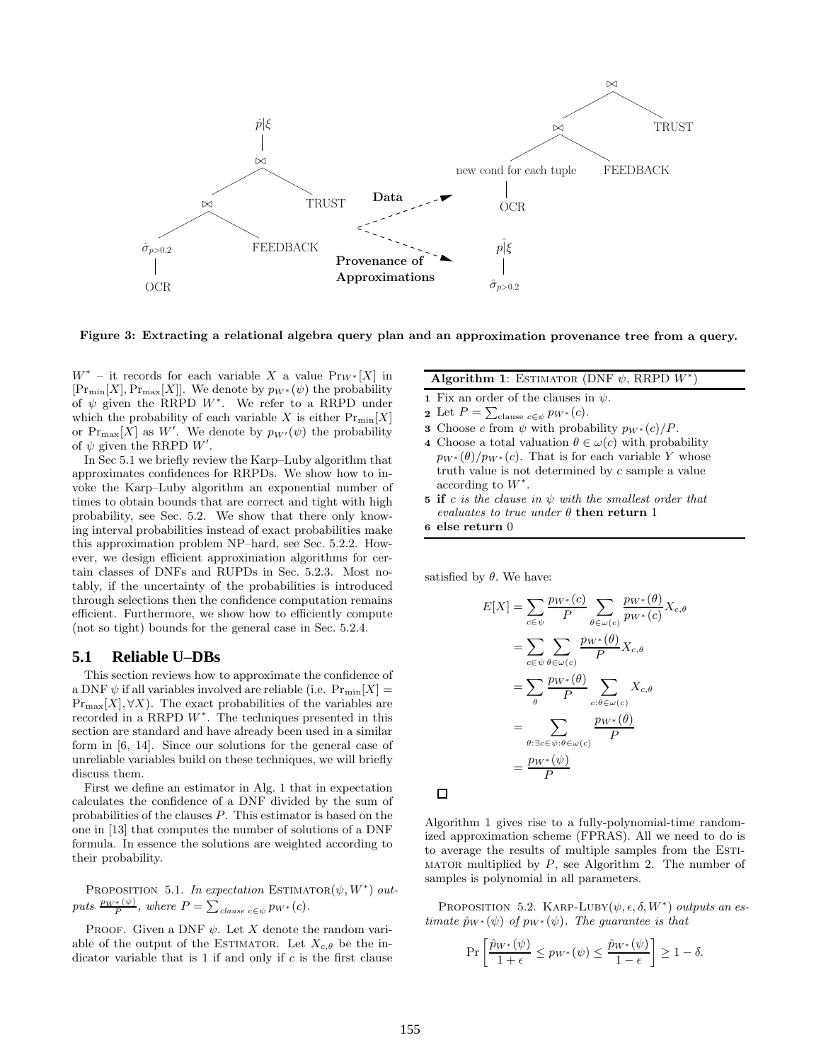

Figure 3: Extracting a relational algebra query plan and an approximation provenance tree from a query.

 $W^*$  – it records for each variable X a value  $\Pr_{W^*}[X]$  in  $[\Pr_{\min}[X], \Pr_{\max}[X]]$ . We denote by  $p_{W^*}(\psi)$  the probability of  $\psi$  given the RRPD W<sup>\*</sup>. We refer to a RRPD under which the probability of each variable X is either  $Pr_{min}[X]$ or  $\text{Pr}_{\text{max}}[X]$  as W'. We denote by  $p_{W'}(\psi)$  the probability of  $\psi$  given the RRPD  $W'$ .

In Sec 5.1 we briefly review the Karp–Luby algorithm that approximates confidences for RRPDs. We show how to invoke the Karp–Luby algorithm an exponential number of times to obtain bounds that are correct and tight with high probability, see Sec. 5.2. We show that there only knowing interval probabilities instead of exact probabilities make this approximation problem NP–hard, see Sec. 5.2.2. However, we design efficient approximation algorithms for certain classes of DNFs and RUPDs in Sec. 5.2.3. Most notably, if the uncertainty of the probabilities is introduced through selections then the confidence computation remains efficient. Furthermore, we show how to efficiently compute (not so tight) bounds for the general case in Sec. 5.2.4.

### **5.1 Reliable U–DBs**

This section reviews how to approximate the confidence of a DNF  $\psi$  if all variables involved are reliable (i.e.  $\Pr_{min}[X] =$  $Pr_{\text{max}}[X], \forall X$ . The exact probabilities of the variables are recorded in a RRPD  $W^*$ . The techniques presented in this section are standard and have already been used in a similar form in [6, 14]. Since our solutions for the general case of unreliable variables build on these techniques, we will briefly discuss them.

First we define an estimator in Alg. 1 that in expectation calculates the confidence of a DNF divided by the sum of probabilities of the clauses  $P$ . This estimator is based on the one in [13] that computes the number of solutions of a DNF formula. In essence the solutions are weighted according to their probability.

PROPOSITION 5.1. *In expectation* ESTIMATOR $(\psi, W^*)$  *out*puts  $\frac{p_{W^*}(\psi)}{P}$ , where  $P = \sum_{clause} c \in \psi} p_{W^*}(c)$ .

PROOF. Given a DNF  $\psi$ . Let X denote the random variable of the output of the ESTIMATOR. Let  $X_{c,\theta}$  be the indicator variable that is  $1$  if and only if  $c$  is the first clause

#### Algorithm 1: ESTIMATOR (DNF  $\psi$ , RRPD  $W^*$ )

- 1 Fix an order of the clauses in  $\psi$ .
- 2 Let  $P = \sum_{\text{clause } c \in \psi} p_{W^*}(c)$ .
- **3** Choose c from  $\psi$  with probability  $p_{W^*}(c)/P$ .
- 4 Choose a total valuation  $\theta \in \omega(c)$  with probability  $p_{W^*}(\theta)/p_{W^*}(c)$ . That is for each variable Y whose truth value is not determined by c sample a value according to  $W^*$ .
- 5 if c *is the clause in* ψ *with the smallest order that evaluates to true under* θ then return 1

6 else return 0

satisfied by  $\theta$ . We have:

$$
E[X] = \sum_{c \in \psi} \frac{p_{W^*}(c)}{P} \sum_{\theta \in \omega(c)} \frac{p_{W^*}(\theta)}{p_{W^*}(c)} X_{c,\theta}
$$
  
= 
$$
\sum_{c \in \psi} \sum_{\theta \in \omega(c)} \frac{p_{W^*}(\theta)}{P} X_{c,\theta}
$$
  
= 
$$
\sum_{\theta} \frac{p_{W^*}(\theta)}{P} \sum_{c:\theta \in \omega(c)} X_{c,\theta}
$$
  
= 
$$
\sum_{\theta: \exists c \in \psi: \theta \in \omega(c)} \frac{p_{W^*}(\theta)}{P}
$$
  
= 
$$
\frac{p_{W^*}(\psi)}{P}
$$

 $\Box$ 

Algorithm 1 gives rise to a fully-polynomial-time randomized approximation scheme (FPRAS). All we need to do is to average the results of multiple samples from the ESTI-MATOR multiplied by  $P$ , see Algorithm 2. The number of samples is polynomial in all parameters.

PROPOSITION 5.2. KARP-LUBY $(\psi, \epsilon, \delta, W^*)$  *outputs an estimate*  $\hat{p}_{W^*}(\psi)$  *of*  $p_{W^*}(\psi)$ *. The guarantee is that* 

$$
\Pr\left[\frac{\hat{p}_{W^*}(\psi)}{1+\epsilon} \leq p_{W^*}(\psi) \leq \frac{\hat{p}_{W^*}(\psi)}{1-\epsilon}\right] \geq 1-\delta.
$$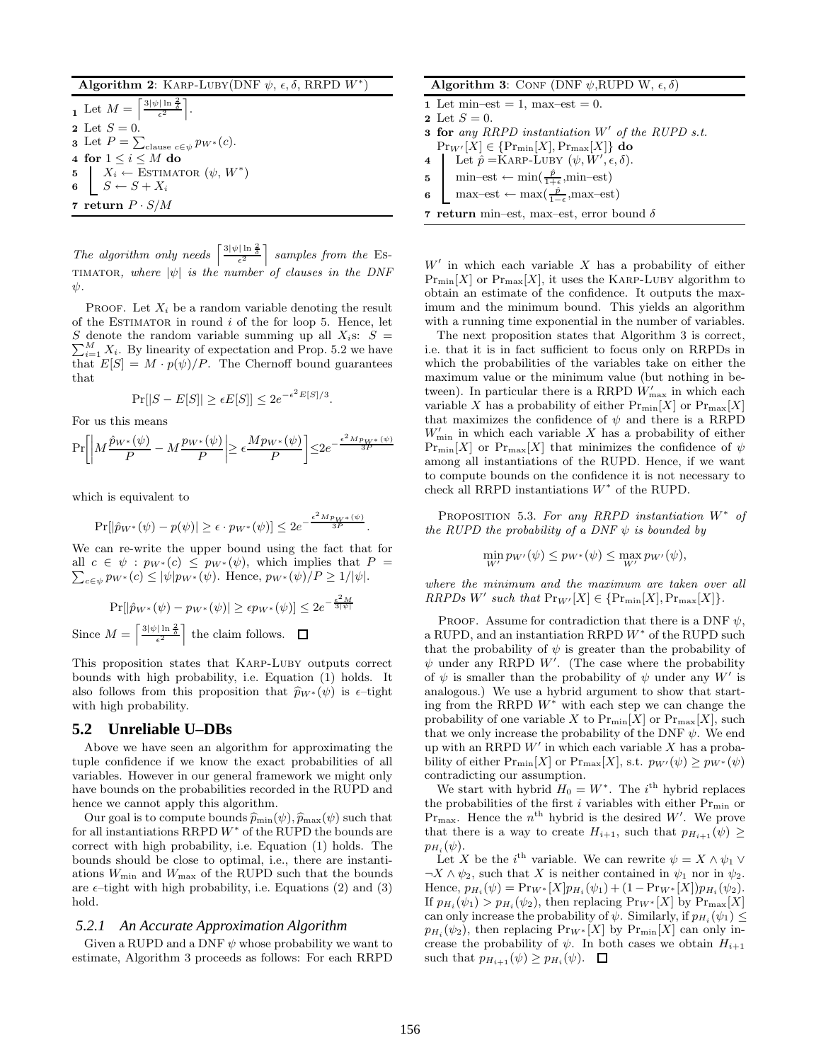#### Algorithm 2: KARP-LUBY(DNF  $\psi$ ,  $\epsilon$ ,  $\delta$ , RRPD  $W^*$ )

 $\frac{1}{\epsilon^2}$  Let  $M = \left| \frac{\frac{S(\psi)}{H} \frac{m}{\delta}}{\epsilon^2} \right|$ .  $\sqrt{ }$  $3|\psi| \ln \frac{2}{3}$ δ  $\epsilon^2$  $\overline{\phantom{a}}$ **2** Let  $S = 0$ . **3** Let  $P = \sum_{\text{clause } c \in \psi} p_{W^*}(c)$ . 4 for  $1 \leq i \leq M$  do 5 |  $X_i \leftarrow \text{ESTIMATOR } (\psi, W^*)$ 6  $S \leftarrow S + X_i$ 7 return  $P \cdot S/M$ 

*The algorithm only needs*  $\left\lceil \frac{3|\psi|\ln \frac{2}{\delta}}{\epsilon^2} \right\rceil$  *samples from the* Es-TIMATOR, where  $|\psi|$  is the number of clauses in the DNF ψ*.*

PROOF. Let  $X_i$  be a random variable denoting the result of the ESTIMATOR in round  $i$  of the for loop 5. Hence, let S denote the random variable summing up all  $X_i$ s:  $S =$  $\sum_{i=1}^{M} X_i$ . By linearity of expectation and Prop. 5.2 we have that  $E[S] = M \cdot p(\psi)/P$ . The Chernoff bound guarantees that

$$
\Pr[|S - E[S]| \ge \epsilon E[S]] \le 2e^{-\epsilon^2 E[S]/3}.
$$

For us this means

$$
\Pr\left[\left|M\frac{\hat{p}_{W^*}(\psi)}{P} - M\frac{p_{W^*}(\psi)}{P}\right|\geq \epsilon \frac{Mp_{W^*}(\psi)}{P}\right]\leq 2e^{-\frac{\epsilon^2Mp_{W^*}(\psi)}{3P}}
$$

which is equivalent to

$$
\Pr[|\hat{p}_{W^*}(\psi) - p(\psi)| \ge \epsilon \cdot p_{W^*}(\psi)] \le 2e^{-\frac{\epsilon^2 M p_{W^*}(\psi)}{3P}}.
$$

We can re-write the upper bound using the fact that for  $\sum_{c \in \psi} p_{W^*}(c) \leq |\psi| p_{W^*}(\psi)$ . Hence,  $p_{W^*}(\psi)/P \geq 1/|\psi|$ . all  $c \in \psi : p_{W^*}(c) \leq p_{W^*}(\psi)$ , which implies that  $P =$ 

$$
\Pr[|\hat{p}_{W^*}(\psi) - p_{W^*}(\psi)| \ge \epsilon p_{W^*}(\psi)] \le 2e^{-\frac{\epsilon^2 M}{3|\psi|}}
$$
  
Since  $M = \left\lceil \frac{3|\psi| \ln \frac{2}{\delta}}{\epsilon^2} \right\rceil$  the claim follows.  $\square$ 

This proposition states that Karp-Luby outputs correct bounds with high probability, i.e. Equation (1) holds. It also follows from this proposition that  $\hat{p}_{W*} (\psi)$  is  $\epsilon$ –tight with high probability.

#### **5.2 Unreliable U–DBs**

Above we have seen an algorithm for approximating the tuple confidence if we know the exact probabilities of all variables. However in our general framework we might only have bounds on the probabilities recorded in the RUPD and hence we cannot apply this algorithm.

Our goal is to compute bounds  $\widehat{p}_{\min}(\psi), \widehat{p}_{\max}(\psi)$  such that for all instantiations RRPD  $W^*$  of the RUPD the bounds are correct with high probability, i.e. Equation (1) holds. The bounds should be close to optimal, i.e., there are instantiations  $W_{\text{min}}$  and  $W_{\text{max}}$  of the RUPD such that the bounds are  $\epsilon$ –tight with high probability, i.e. Equations (2) and (3) hold.

#### *5.2.1 An Accurate Approximation Algorithm*

Given a RUPD and a DNF  $\psi$  whose probability we want to estimate, Algorithm 3 proceeds as follows: For each RRPD

#### Algorithm 3: CONF (DNF  $\psi$ , RUPD W,  $\epsilon$ ,  $\delta$ )

|  |  |  |  |  |  | 1 Let $min-est = 1$ , $max-est = 0$ . |  |  |  |  |
|--|--|--|--|--|--|---------------------------------------|--|--|--|--|
|--|--|--|--|--|--|---------------------------------------|--|--|--|--|

2 Let  $S = 0$ .

- **3 for** any RRPD instantiation W' of the RUPD s.t.  $\Pr_{W'}[X] \in \{\Pr_{\min}[X], \Pr_{\max}[X]\}\$ do
- **4** Let  $\hat{p} = \text{KARP-LUBY } (\psi, W', \epsilon, \delta).$
- 5 min–est  $\leftarrow \min(\frac{\hat{p}}{1+\epsilon},\min-\text{est})$
- 6  $\left[\max\left(-\exp\left(-\frac{\hat{p}}{1-\epsilon}\right)\max\left(-\frac{\hat{p}}{1-\epsilon}\right)\right]\right]$
- 7 return min–est, max–est, error bound  $\delta$

 $W'$  in which each variable  $X$  has a probability of either  $Pr_{min}[X]$  or  $Pr_{max}[X]$ , it uses the KARP-LUBY algorithm to obtain an estimate of the confidence. It outputs the maximum and the minimum bound. This yields an algorithm with a running time exponential in the number of variables.

The next proposition states that Algorithm 3 is correct, i.e. that it is in fact sufficient to focus only on RRPDs in which the probabilities of the variables take on either the maximum value or the minimum value (but nothing in between). In particular there is a RRPD  $W'_{\text{max}}$  in which each variable X has a probability of either  $Pr_{min}[X]$  or  $Pr_{max}[X]$ that maximizes the confidence of  $\psi$  and there is a RRPD  $W'_{\min}$  in which each variable X has a probability of either  $\Pr_{\text{min}}[X]$  or  $\Pr_{\text{max}}[X]$  that minimizes the confidence of  $\psi$ among all instantiations of the RUPD. Hence, if we want to compute bounds on the confidence it is not necessary to check all RRPD instantiations  $W^*$  of the RUPD.

Proposition 5.3. *For any RRPD instantiation* W<sup>∗</sup> *of the RUPD the probability of a DNF*  $\psi$  *is bounded by* 

$$
\min_{W'} p_{W'}(\psi) \leq p_{W^*}(\psi) \leq \max_{W'} p_{W'}(\psi),
$$

*where the minimum and the maximum are taken over all*  $RRPDs$  W' such that  $\Pr_{W'}[X] \in \{ \Pr_{\min}[X], \Pr_{\max}[X] \}.$ 

PROOF. Assume for contradiction that there is a DNF  $\psi$ , a RUPD, and an instantiation RRPD  $W^*$  of the RUPD such that the probability of  $\psi$  is greater than the probability of  $\psi$  under any RRPD W'. (The case where the probability of  $\psi$  is smaller than the probability of  $\psi$  under any  $W'$  is analogous.) We use a hybrid argument to show that starting from the RRPD  $W^*$  with each step we can change the probability of one variable X to  $\Pr_{min}[X]$  or  $\Pr_{max}[X]$ , such that we only increase the probability of the DNF  $\psi$ . We end up with an RRPD  $W'$  in which each variable X has a probability of either  $Pr_{min}[X]$  or  $Pr_{max}[X]$ , s.t.  $p_{W'}(\psi) \geq p_{W^*}(\psi)$ contradicting our assumption.

We start with hybrid  $H_0 = W^*$ . The i<sup>th</sup> hybrid replaces the probabilities of the first i variables with either  $Pr_{min}$  or Pr<sub>max</sub>. Hence the  $n^{\text{th}}$  hybrid is the desired W'. We prove that there is a way to create  $H_{i+1}$ , such that  $p_{H_{i+1}}(\psi) \geq$  $p_{H_i}(\psi).$ 

Let X be the *i*<sup>th</sup> variable. We can rewrite  $\psi = X \wedge \psi_1 \vee$  $\neg X \wedge \psi_2$ , such that X is neither contained in  $\psi_1$  nor in  $\psi_2$ . Hence,  $p_{H_i}(\psi) = Pr_{W^*}[X]p_{H_i}(\psi_1) + (1 - Pr_{W^*}[X])p_{H_i}(\psi_2).$ If  $p_{H_i}(\psi_1) > p_{H_i}(\psi_2)$ , then replacing  $\text{Pr}_{W^*}[X]$  by  $\text{Pr}_{\text{max}}[X]$ can only increase the probability of  $\psi$ . Similarly, if  $p_{H_i}(\psi_1) \leq$  $p_{H_i}(\psi_2)$ , then replacing  $Pr_{W^*}[X]$  by  $Pr_{min}[X]$  can only increase the probability of  $\psi$ . In both cases we obtain  $H_{i+1}$ such that  $p_{H_{i+1}}(\psi) \geq p_{H_i}(\psi)$ .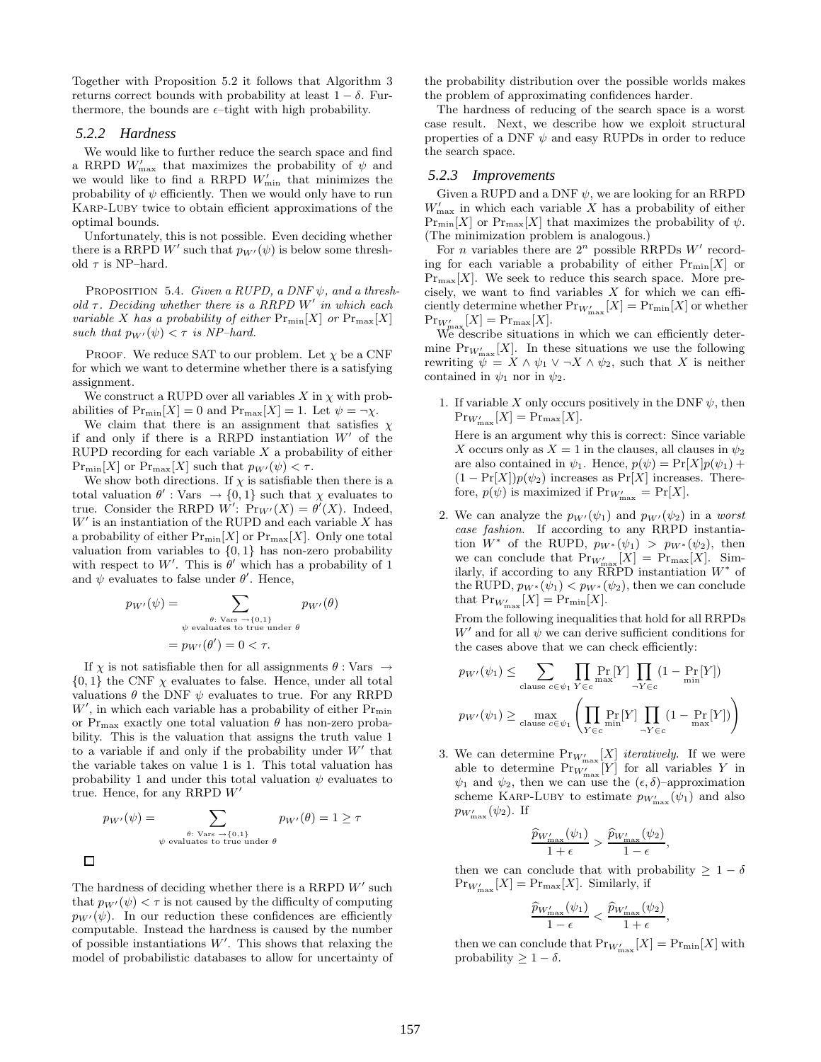Together with Proposition 5.2 it follows that Algorithm 3 returns correct bounds with probability at least  $1 - \delta$ . Furthermore, the bounds are  $\epsilon$ -tight with high probability.

#### *5.2.2 Hardness*

We would like to further reduce the search space and find a RRPD  $W'_{\text{max}}$  that maximizes the probability of  $\psi$  and we would like to find a RRPD  $W'_{\min}$  that minimizes the probability of  $\psi$  efficiently. Then we would only have to run Karp-Luby twice to obtain efficient approximations of the optimal bounds.

Unfortunately, this is not possible. Even deciding whether there is a RRPD  $W'$  such that  $p_{W'}(\psi)$  is below some threshold  $\tau$  is NP–hard.

Proposition 5.4. *Given a RUPD, a DNF* ψ*, and a threshold* τ *. Deciding whether there is a RRPD* W′ *in which each variable* X has a probability of either  $Pr_{min}[X]$  or  $Pr_{max}[X]$ *such that*  $p_{W'}(\psi) < \tau$  *is NP-hard.* 

PROOF. We reduce SAT to our problem. Let  $\chi$  be a CNF for which we want to determine whether there is a satisfying assignment.

We construct a RUPD over all variables  $X$  in  $\chi$  with probabilities of  $Pr_{min}[X] = 0$  and  $Pr_{max}[X] = 1$ . Let  $\psi = \neg \chi$ .

We claim that there is an assignment that satisfies  $\chi$ if and only if there is a RRPD instantiation  $W'$  of the RUPD recording for each variable  $X$  a probability of either  $Pr_{\min}[X]$  or  $Pr_{\max}[X]$  such that  $p_{W'}(\psi) < \tau$ .

We show both directions. If  $\chi$  is satisfiable then there is a total valuation  $\theta'$ : Vars  $\rightarrow$  {0, 1} such that  $\chi$  evaluates to true. Consider the RRPD  $W'$ :  $\Pr_{W'}(X) = \theta'(X)$ . Indeed,  $W'$  is an instantiation of the RUPD and each variable  $X$  has a probability of either  $Pr_{min}[X]$  or  $Pr_{max}[X]$ . Only one total valuation from variables to  $\{0,1\}$  has non-zero probability with respect to W'. This is  $\theta'$  which has a probability of 1 and  $\psi$  evaluates to false under  $\theta'$ . Hence,

$$
p_{W'}(\psi) = \sum_{\substack{\theta: \text{Vars } \to \{0,1\} \\ \psi \text{ evaluates to true under } \theta}} p_{W'}(\theta)
$$

$$
= p_{W'}(\theta') = 0 < \tau.
$$

If  $\chi$  is not satisfiable then for all assignments  $\theta$  : Vars  $\rightarrow$  $\{0,1\}$  the CNF  $\chi$  evaluates to false. Hence, under all total valuations  $\theta$  the DNF  $\psi$  evaluates to true. For any RRPD  $W'$ , in which each variable has a probability of either  $Pr_{min}$ or  $Pr_{max}$  exactly one total valuation  $\theta$  has non-zero probability. This is the valuation that assigns the truth value 1 to a variable if and only if the probability under  $W'$  that the variable takes on value 1 is 1. This total valuation has probability 1 and under this total valuation  $\psi$  evaluates to true. Hence, for any RRPD  $W'$ 

$$
p_{W'}(\psi) = \sum_{\substack{\theta: \text{ Vars } \to \{0,1\} \\ \psi \text{ evaluates to true under } \theta}} p_{W'}(\theta) = 1 \ge \tau
$$

The hardness of deciding whether there is a RRPD  $W'$  such that  $p_{W'}(\psi) < \tau$  is not caused by the difficulty of computing  $p_{W'}(\psi)$ . In our reduction these confidences are efficiently computable. Instead the hardness is caused by the number of possible instantiations  $W'$ . This shows that relaxing the model of probabilistic databases to allow for uncertainty of the probability distribution over the possible worlds makes the problem of approximating confidences harder.

The hardness of reducing of the search space is a worst case result. Next, we describe how we exploit structural properties of a DNF  $\psi$  and easy RUPDs in order to reduce the search space.

#### *5.2.3 Improvements*

Given a RUPD and a DNF  $\psi$ , we are looking for an RRPD  $W'_{\text{max}}$  in which each variable X has a probability of either  $Pr_{min}[X]$  or  $Pr_{max}[X]$  that maximizes the probability of  $\psi$ . (The minimization problem is analogous.)

For *n* variables there are  $2^n$  possible RRPDs  $W'$  recording for each variable a probability of either  $Pr_{min}[X]$  or  $Pr_{\text{max}}[X]$ . We seek to reduce this search space. More precisely, we want to find variables  $X$  for which we can efficiently determine whether  $\Pr_{W'_{\text{max}}}[X] = \Pr_{\text{min}}[X]$  or whether  $\Pr_{W'_{\text{max}}}[X] = \Pr_{\text{max}}[X].$ 

We describe situations in which we can efficiently determine  $\Pr_{W'_{\text{max}}}[X]$ . In these situations we use the following rewriting  $\psi = X \wedge \psi_1 \vee \neg X \wedge \psi_2$ , such that X is neither contained in  $\psi_1$  nor in  $\psi_2$ .

1. If variable X only occurs positively in the DNF  $\psi$ , then  $\Pr_{W'_{\text{max}}}[X] = \Pr_{\text{max}}[X].$ 

Here is an argument why this is correct: Since variable X occurs only as  $X = 1$  in the clauses, all clauses in  $\psi_2$ are also contained in  $\psi_1$ . Hence,  $p(\psi) = \Pr[X]p(\psi_1) +$  $(1 - \Pr[X])p(\psi_2)$  increases as  $\Pr[X]$  increases. Therefore,  $p(\psi)$  is maximized if  $\Pr_{W'_{\text{max}}} = \Pr[X]$ .

2. We can analyze the  $p_{W'}(\psi_1)$  and  $p_{W'}(\psi_2)$  in a *worst case fashion*. If according to any RRPD instantiation  $W^*$  of the RUPD,  $p_{W^*}(\psi_1) > p_{W^*}(\psi_2)$ , then we can conclude that  $\Pr_{W'_{\text{max}}}[X] = \Pr_{\text{max}}[X]$ . Similarly, if according to any  $\widehat{R}$ RPD instantiation  $W^*$  of the RUPD,  $p_{W^*}(\psi_1) < p_{W^*}(\psi_2)$ , then we can conclude that  $\Pr_{W'_{\text{max}}}[X] = \Pr_{\text{min}}[X]$ .

From the following inequalities that hold for all RRPDs  $W'$  and for all  $\psi$  we can derive sufficient conditions for the cases above that we can check efficiently:

$$
p_{W'}(\psi_1) \leq \sum_{\text{clause } c \in \psi_1} \prod_{Y \in c} \Pr_{\text{max}}[Y] \prod_{\neg Y \in c} (1 - \Pr_{\text{min}}[Y])
$$

$$
p_{W'}(\psi_1) \geq \max_{\text{clause } c \in \psi_1} \left( \prod_{Y \in c} \Pr_{\text{min}}[Y] \prod_{\neg Y \in c} (1 - \Pr_{\text{max}}[Y]) \right)
$$

3. We can determine  $Pr_{W'_{\text{max}}} [X]$  *iteratively*. If we were able to determine  $Pr_{W'_{\text{max}}}[Y]$  for all variables Y in  $\psi_1$  and  $\psi_2$ , then we can use the  $(\epsilon, \delta)$ -approximation scheme KARP-LUBY to estimate  $p_{W'_{\text{max}}}(\psi_1)$  and also  $p_{W'_{\text{max}}}(\psi_2)$ . If

$$
\frac{\widehat{p}_{W'_{\max}}(\psi_1)}{1+\epsilon} > \frac{\widehat{p}_{W'_{\max}}(\psi_2)}{1-\epsilon},
$$

then we can conclude that with probability  $\geq 1 - \delta$  $\Pr_{W'_{\text{max}}}[X] = \Pr_{\text{max}}[X]$ . Similarly, if

$$
\frac{\widehat{p}_{W'_{\max}}(\psi_1)}{1-\epsilon} < \frac{\widehat{p}_{W'_{\max}}(\psi_2)}{1+\epsilon},
$$

then we can conclude that  $\Pr_{W'_{\text{max}}}[X] = \Pr_{\text{min}}[X]$  with probability  $\geq 1 - \delta$ .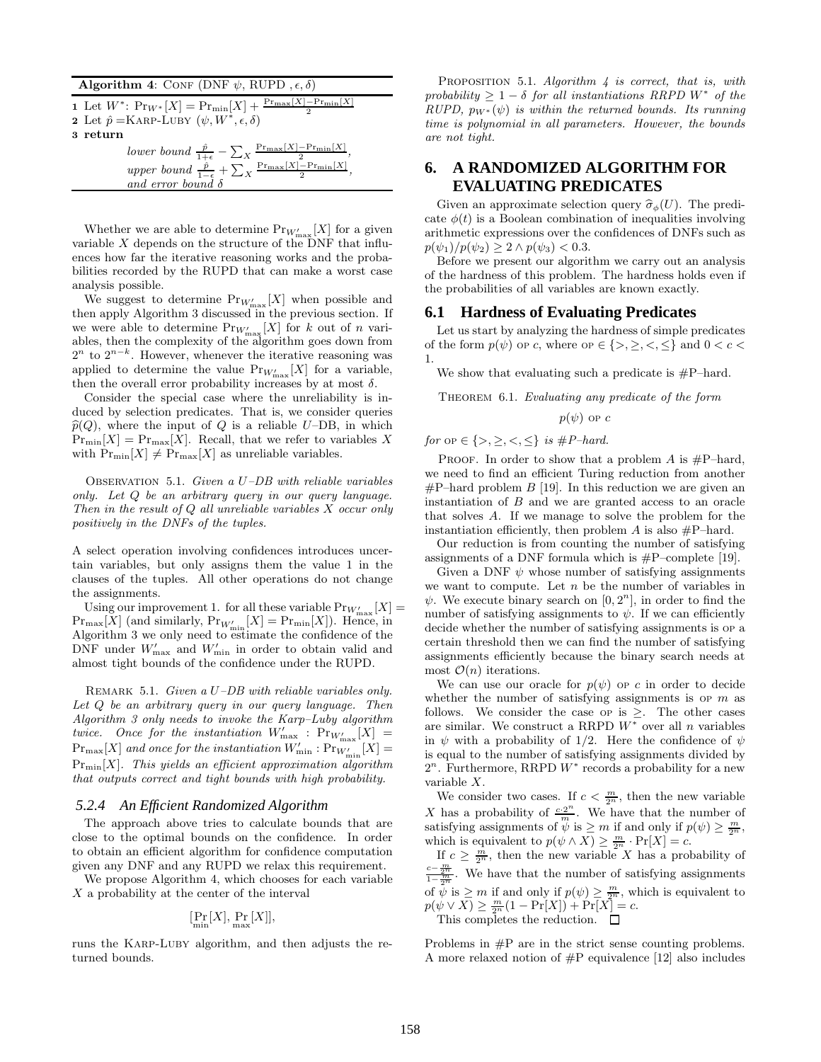Algorithm 4: CONF (DNF  $\psi$ , RUPD,  $\epsilon$ ,  $\delta$ )

| 1 Let $W^*$ : $Pr_{W^*}[X] = Pr_{min}[X] + \frac{Pr_{max}[X] - Pr_{min}[X]}{2}$                                                                                                                                                            |
|--------------------------------------------------------------------------------------------------------------------------------------------------------------------------------------------------------------------------------------------|
| 2 Let $\hat{p} =$ KARP-LUBY $(\psi, W^*, \epsilon, \delta)$                                                                                                                                                                                |
| $\scriptstyle\rm 3\ return$                                                                                                                                                                                                                |
| lower bound $\frac{\hat{p}}{1+\epsilon} - \sum_{X} \frac{\text{Pr}_{\text{max}}[X] - \text{Pr}_{\text{min}}[X]}{2}$<br>upper bound $\frac{\hat{p}}{1-\epsilon} + \sum_{X} \frac{\text{Pr}_{\text{max}}[X] - \text{Pr}_{\text{min}}[X]}{2}$ |
| and error bound $\delta$                                                                                                                                                                                                                   |

Whether we are able to determine  $Pr_{W'_{\text{max}}}[X]$  for a given variable  $X$  depends on the structure of the DNF that influences how far the iterative reasoning works and the probabilities recorded by the RUPD that can make a worst case analysis possible.

We suggest to determine  $\Pr_{W'_{\text{max}}}[X]$  when possible and then apply Algorithm 3 discussed in the previous section. If we were able to determine  $\Pr_{W'_{\text{max}}}[X]$  for k out of n variables, then the complexity of the algorithm goes down from  $2^{n}$  to  $2^{n-k}$ . However, whenever the iterative reasoning was applied to determine the value  $Pr_{W'_{\text{max}}}[X]$  for a variable, then the overall error probability increases by at most  $\delta$ .

Consider the special case where the unreliability is induced by selection predicates. That is, we consider queries  $\widehat{p}(Q)$ , where the input of Q is a reliable U–DB, in which  $Pr_{min}[X] = Pr_{max}[X]$ . Recall, that we refer to variables X with  $Pr_{min}[X] \neq Pr_{max}[X]$  as unreliable variables.

Observation 5.1. *Given a* U*–DB with reliable variables only. Let* Q *be an arbitrary query in our query language. Then in the result of* Q *all unreliable variables* X *occur only positively in the DNFs of the tuples.*

A select operation involving confidences introduces uncertain variables, but only assigns them the value 1 in the clauses of the tuples. All other operations do not change the assignments.

Using our improvement 1. for all these variable  $\Pr_{W'_{\text{max}}}[X] =$  $\Pr_{\text{max}}[X]$  (and similarly,  $\Pr_{W'_{\text{min}}}[X] = \Pr_{\text{min}}[X]$ ). Hence, in Algorithm 3 we only need to estimate the confidence of the DNF under  $W'_{\text{max}}$  and  $W'_{\text{min}}$  in order to obtain valid and almost tight bounds of the confidence under the RUPD.

Remark 5.1. *Given a* U*–DB with reliable variables only. Let* Q *be an arbitrary query in our query language. Then Algorithm 3 only needs to invoke the Karp–Luby algorithm twice.* Once for the instantiation  $W'_{\text{max}}$  :  $\Pr_{W'_{\text{max}}}[X] =$  $\Pr_{\text{max}}[X]$  and once for the instantiation  $W'_{\text{min}}$  :  $\Pr_{W'_{\text{min}}}[X] =$ Prmin[X]*. This yields an efficient approximation algorithm that outputs correct and tight bounds with high probability.*

#### *5.2.4 An Efficient Randomized Algorithm*

The approach above tries to calculate bounds that are close to the optimal bounds on the confidence. In order to obtain an efficient algorithm for confidence computation given any DNF and any RUPD we relax this requirement.

We propose Algorithm 4, which chooses for each variable X a probability at the center of the interval

$$
[\Pr_{\min}[X], \Pr_{\max}[X]],
$$

runs the Karp-Luby algorithm, and then adjusts the returned bounds.

Proposition 5.1. *Algorithm 4 is correct, that is, with*  $probability \geq 1 - \delta$  *for all instantiations RRPD*  $W^*$  *of the RUPD,*  $p_{W^*}(\psi)$  *is within the returned bounds. Its running time is polynomial in all parameters. However, the bounds are not tight.*

# **6. A RANDOMIZED ALGORITHM FOR EVALUATING PREDICATES**

Given an approximate selection query  $\hat{\sigma}_{\phi}(U)$ . The predicate  $\phi(t)$  is a Boolean combination of inequalities involving arithmetic expressions over the confidences of DNFs such as  $p(\psi_1)/p(\psi_2) \geq 2 \wedge p(\psi_3) < 0.3.$ 

Before we present our algorithm we carry out an analysis of the hardness of this problem. The hardness holds even if the probabilities of all variables are known exactly.

#### **6.1 Hardness of Evaluating Predicates**

Let us start by analyzing the hardness of simple predicates of the form  $p(\psi)$  or c, where or  $\in \{>, \geq, <, \leq\}$  and  $0 < c <$ 1.

We show that evaluating such a predicate is  $\#P$ –hard.

Theorem 6.1. *Evaluating any predicate of the form*

$$
p(\psi) \text{ or } c
$$

*for* or  $\in \{>, \geq, \leq, \leq\}$  *is #P-hard.* 

PROOF. In order to show that a problem A is  $\#P$ –hard, we need to find an efficient Turing reduction from another  $\#P$ –hard problem B [19]. In this reduction we are given an instantiation of  $B$  and we are granted access to an oracle that solves A. If we manage to solve the problem for the instantiation efficiently, then problem  $A$  is also  $\#P$ –hard.

Our reduction is from counting the number of satisfying assignments of a DNF formula which is  $#P$ –complete [19].

Given a DNF  $\psi$  whose number of satisfying assignments we want to compute. Let  $n$  be the number of variables in  $\psi$ . We execute binary search on  $[0, 2^n]$ , in order to find the number of satisfying assignments to  $\psi$ . If we can efficiently decide whether the number of satisfying assignments is op a certain threshold then we can find the number of satisfying assignments efficiently because the binary search needs at most  $\mathcal{O}(n)$  iterations.

We can use our oracle for  $p(\psi)$  or c in order to decide whether the number of satisfying assignments is op  $m$  as follows. We consider the case op is  $\geq$ . The other cases are similar. We construct a RRPD  $W^*$  over all n variables in  $\psi$  with a probability of 1/2. Here the confidence of  $\psi$ is equal to the number of satisfying assignments divided by  $2<sup>n</sup>$ . Furthermore, RRPD  $W^*$  records a probability for a new variable X.

We consider two cases. If  $c < \frac{m}{2^n}$ , then the new variable X has a probability of  $\frac{c \cdot 2^n}{m}$ . We have that the number of satisfying assignments of  $\psi$  is  $\geq m$  if and only if  $p(\psi) \geq \frac{m}{2^n}$ , which is equivalent to  $p(\psi \wedge X) \geq \frac{m}{2^n} \cdot \Pr[X] = c$ .

If  $c \geq \frac{m}{2^n}$ , then the new variable X has a probability of  $\frac{c-\frac{m}{2n}}{1-\frac{m}{2n}}$ . We have that the number of satisfying assignments of  $\psi$  is  $\geq m$  if and only if  $p(\psi) \geq \frac{m}{2^n}$ , which is equivalent to  $p(\psi \vee X) \ge \frac{m}{2^n} (1 - \Pr[X]) + \Pr[X] = c.$ This completes the reduction.  $\Box$ 

Problems in #P are in the strict sense counting problems. A more relaxed notion of #P equivalence [12] also includes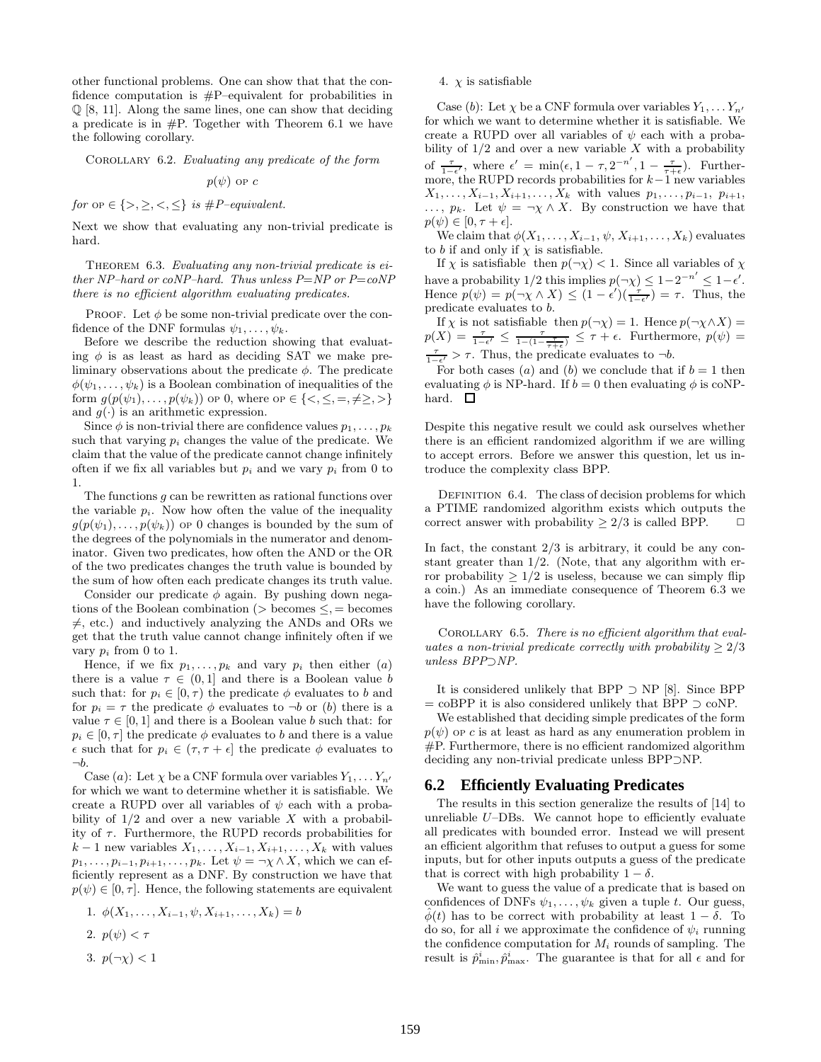other functional problems. One can show that that the confidence computation is #P–equivalent for probabilities in  $\mathbb{Q}$  [8, 11]. Along the same lines, one can show that deciding a predicate is in  $\#P$ . Together with Theorem 6.1 we have the following corollary.

Corollary 6.2. *Evaluating any predicate of the form*

$$
p(\psi) \text{ or } c
$$

*for*  $o \in \{>, \geq, \leq, \leq\}$  *is #P–equivalent.* 

Next we show that evaluating any non-trivial predicate is hard.

THEOREM 6.3. *Evaluating any non-trivial predicate is either NP–hard or coNP–hard. Thus unless P*=*NP or P*=*coNP there is no efficient algorithm evaluating predicates.*

PROOF. Let  $\phi$  be some non-trivial predicate over the confidence of the DNF formulas  $\psi_1, \ldots, \psi_k$ .

Before we describe the reduction showing that evaluating  $\phi$  is as least as hard as deciding SAT we make preliminary observations about the predicate  $\phi$ . The predicate  $\phi(\psi_1,\ldots,\psi_k)$  is a Boolean combination of inequalities of the form  $g(p(\psi_1), \ldots, p(\psi_k))$  or 0, where or  $\in \{<,\leq,=,\neq\geq,>\}$ and  $g(\cdot)$  is an arithmetic expression.

Since  $\phi$  is non-trivial there are confidence values  $p_1, \ldots, p_k$ such that varying  $p_i$  changes the value of the predicate. We claim that the value of the predicate cannot change infinitely often if we fix all variables but  $p_i$  and we vary  $p_i$  from 0 to 1.

The functions  $g$  can be rewritten as rational functions over the variable  $p_i$ . Now how often the value of the inequality  $g(p(\psi_1), \ldots, p(\psi_k))$  or 0 changes is bounded by the sum of the degrees of the polynomials in the numerator and denominator. Given two predicates, how often the AND or the OR of the two predicates changes the truth value is bounded by the sum of how often each predicate changes its truth value.

Consider our predicate  $\phi$  again. By pushing down negations of the Boolean combination ( $>$  becomes  $\leq$ ,  $=$  becomes  $\neq$ , etc.) and inductively analyzing the ANDs and ORs we get that the truth value cannot change infinitely often if we vary  $p_i$  from 0 to 1.

Hence, if we fix  $p_1, \ldots, p_k$  and vary  $p_i$  then either  $(a)$ there is a value  $\tau \in (0,1]$  and there is a Boolean value b such that: for  $p_i \in [0, \tau)$  the predicate  $\phi$  evaluates to b and for  $p_i = \tau$  the predicate  $\phi$  evaluates to  $\neg b$  or (b) there is a value  $\tau \in [0, 1]$  and there is a Boolean value b such that: for  $p_i \in [0, \tau]$  the predicate  $\phi$  evaluates to b and there is a value  $\epsilon$  such that for  $p_i \in (\tau, \tau + \epsilon]$  the predicate  $\phi$  evaluates to  $\neg b$ .

Case (a): Let  $\chi$  be a CNF formula over variables  $Y_1, \ldots, Y_{n'}$ for which we want to determine whether it is satisfiable. We create a RUPD over all variables of  $\psi$  each with a probability of  $1/2$  and over a new variable X with a probability of  $\tau$ . Furthermore, the RUPD records probabilities for  $k-1$  new variables  $X_1, \ldots, X_{i-1}, X_{i+1}, \ldots, X_k$  with values  $p_1, \ldots, p_{i-1}, p_{i+1}, \ldots, p_k$ . Let  $\psi = \neg \chi \wedge X$ , which we can efficiently represent as a DNF. By construction we have that  $p(\psi) \in [0, \tau]$ . Hence, the following statements are equivalent

1. 
$$
\phi(X_1, ..., X_{i-1}, \psi, X_{i+1}, ..., X_k) = b
$$
  
2.  $p(\psi) < \tau$ 

3.  $p(\neg \chi) < 1$ 

#### 4.  $\chi$  is satisfiable

Case (b): Let  $\chi$  be a CNF formula over variables  $Y_1, \ldots, Y_{n'}$ for which we want to determine whether it is satisfiable. We create a RUPD over all variables of  $\psi$  each with a probability of  $1/2$  and over a new variable X with a probability of  $\frac{\tau}{1-\epsilon'}$ , where  $\epsilon' = \min(\epsilon, 1-\tau, 2^{-n'}, 1-\frac{\tau}{\tau+\epsilon})$ . Furthermore, the RUPD records probabilities for  $k-1$  new variables  $X_1, \ldots, X_{i-1}, X_{i+1}, \ldots, X_k$  with values  $p_1, \ldots, p_{i-1}, p_{i+1}$ ,  $\ldots, p_k$ . Let  $\psi = \neg \chi \wedge X$ . By construction we have that  $p(\psi) \in [0, \tau + \epsilon].$ 

We claim that  $\phi(X_1, \ldots, X_{i-1}, \psi, X_{i+1}, \ldots, X_k)$  evaluates to  $b$  if and only if  $\chi$  is satisfiable.

If  $\chi$  is satisfiable then  $p(\neg \chi) < 1$ . Since all variables of  $\chi$ have a probability  $1/2$  this implies  $p(\neg \chi) \leq 1 - 2^{-n'} \leq 1 - \epsilon'$ . Hence  $p(\psi) = p(\neg \chi \wedge X) \leq (1 - \epsilon')(\frac{\tau}{1 - \epsilon'}) = \tau$ . Thus, the predicate evaluates to b.

If  $\chi$  is not satisfiable then  $p(\neg \chi) = 1$ . Hence  $p(\neg \chi \wedge X) =$  $p(X) = \frac{\tau}{1-\epsilon'} \leq \frac{\tau}{1-(1-\frac{\tau}{\tau+\epsilon})} \leq \tau + \epsilon$ . Furthermore,  $p(\psi) = \frac{\tau}{1-\epsilon'} > \tau$ . Thus, the predicate evaluates to  $\neg b$ .

For both cases (a) and (b) we conclude that if  $b = 1$  then evaluating  $\phi$  is NP-hard. If  $b = 0$  then evaluating  $\phi$  is coNPhard.  $\square$ 

Despite this negative result we could ask ourselves whether there is an efficient randomized algorithm if we are willing to accept errors. Before we answer this question, let us introduce the complexity class BPP.

DEFINITION 6.4. The class of decision problems for which a PTIME randomized algorithm exists which outputs the correct answer with probability  $\geq 2/3$  is called BPP.  $\Box$ 

In fact, the constant  $2/3$  is arbitrary, it could be any constant greater than 1/2. (Note, that any algorithm with error probability  $\geq 1/2$  is useless, because we can simply flip a coin.) As an immediate consequence of Theorem 6.3 we have the following corollary.

Corollary 6.5. *There is no efficient algorithm that evaluates a non-trivial predicate correctly with probability*  $\geq 2/3$ *unless BPP*⊃*NP.*

It is considered unlikely that BPP ⊃ NP [8]. Since BPP  $=$  coBPP it is also considered unlikely that BPP  $\supset$  coNP.

We established that deciding simple predicates of the form  $p(\psi)$  op c is at least as hard as any enumeration problem in #P. Furthermore, there is no efficient randomized algorithm deciding any non-trivial predicate unless BPP⊃NP.

#### **6.2 Efficiently Evaluating Predicates**

The results in this section generalize the results of [14] to unreliable  $U$ –DBs. We cannot hope to efficiently evaluate all predicates with bounded error. Instead we will present an efficient algorithm that refuses to output a guess for some inputs, but for other inputs outputs a guess of the predicate that is correct with high probability  $1 - \delta$ .

We want to guess the value of a predicate that is based on confidences of DNFs  $\psi_1, \ldots, \psi_k$  given a tuple t. Our guess,  $\phi(t)$  has to be correct with probability at least  $1 - \delta$ . To do so, for all i we approximate the confidence of  $\psi_i$  running the confidence computation for  $M_i$  rounds of sampling. The result is  $\hat{p}_{\min}^i, \hat{p}_{\max}^i$ . The guarantee is that for all  $\epsilon$  and for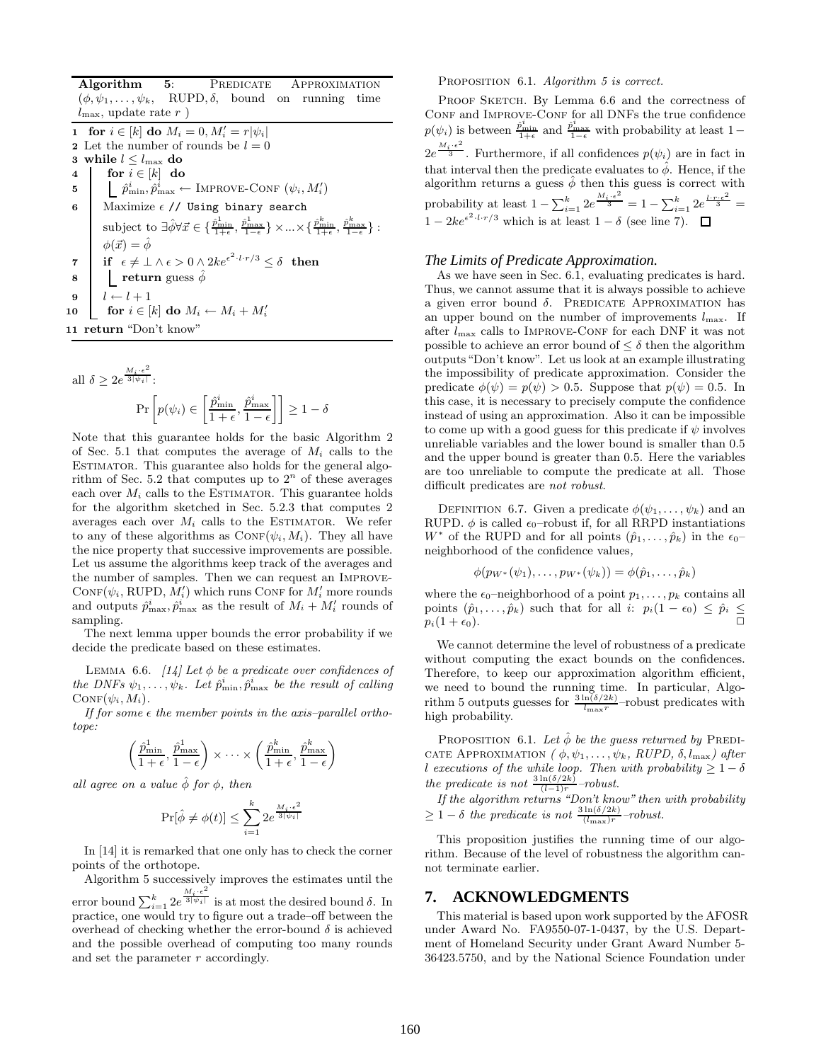Algorithm 5: PREDICATE APPROXIMATION  $(\phi, \psi_1, \ldots, \psi_k, \text{RUPD}, \delta, \text{bound on running time})$  $l_{\text{max}}$ , update rate r ) 1 for  $i \in [k]$  do  $M_i = 0, M'_i = r|\psi_i|$ 2 Let the number of rounds be  $l = 0$ 3 while  $l \leq l_{\max}$  do 4 for  $i \in [k]$  do 5  $\hat{p}_{\min}^i, \hat{p}_{\max}^i \leftarrow \text{IMPROVE-CONF } (\psi_i, M_i')$ 6 | Maximize  $\epsilon$  // Using binary search subject to  $\exists \hat{\phi} \forall \vec{x} \in \{ \frac{\hat{p}_{\text{min}}^1}{1+\epsilon}, \frac{\hat{p}_{\text{max}}^1}{1-\epsilon} \} \times ... \times \{ \frac{\hat{p}_{\text{min}}^k}{1+\epsilon}, \frac{\hat{p}_{\text{max}}^k}{1-\epsilon} \}$ :  $\phi(\vec{x}) = \hat{\phi}$  $\begin{array}{ll} \pi & \text{if} \ \ \epsilon \neq \bot \wedge \epsilon > 0 \wedge 2ke^{\epsilon^2 \cdot l \cdot r / 3} \leq \delta \ \ \text{then} \end{array}$ 8 **return** guess  $\hat{\phi}$ 9  $l \leftarrow l + 1$ 10  $\Box$  for  $i \in [k]$  do  $M_i \leftarrow M_i + M'_i$ 11 return "Don't know"

$$
\begin{aligned} \text{all } \delta \geq 2e^{\frac{M_i \cdot \epsilon^2}{3|\psi_i|}} \colon \\ \Pr\left[p(\psi_i) \in \left[\frac{\hat{p}^i_{\min}}{1+\epsilon}, \frac{\hat{p}^i_{\max}}{1-\epsilon}\right]\right] \geq 1-\delta \end{aligned}
$$

Note that this guarantee holds for the basic Algorithm 2 of Sec. 5.1 that computes the average of  $M_i$  calls to the ESTIMATOR. This guarantee also holds for the general algorithm of Sec. 5.2 that computes up to  $2<sup>n</sup>$  of these averages each over  $M_i$  calls to the ESTIMATOR. This guarantee holds for the algorithm sketched in Sec. 5.2.3 that computes 2 averages each over  $M_i$  calls to the ESTIMATOR. We refer to any of these algorithms as  $CONF(\psi_i, M_i)$ . They all have the nice property that successive improvements are possible. Let us assume the algorithms keep track of the averages and the number of samples. Then we can request an Improve- $CONF(\psi_i, RUPD, M'_i)$  which runs CONF for  $M'_i$  more rounds and outputs  $\hat{p}_{\max}^i, \hat{p}_{\max}^i$  as the result of  $M_i + M'_i$  rounds of sampling.

The next lemma upper bounds the error probability if we decide the predicate based on these estimates.

LEMMA 6.6.  $[14]$  Let  $\phi$  be a predicate over confidences of *the DNFs*  $\psi_1, \ldots, \psi_k$ . Let  $\hat{p}_{\min}^i, \hat{p}_{\max}^i$  be the result of calling  $CONF(\psi_i, M_i)$ .

*If for some*  $\epsilon$  *the member points in the axis–parallel orthotope:*

$$
\left(\frac{\hat{p}^1_{\min}}{1+\epsilon},\frac{\hat{p}^1_{\max}}{1-\epsilon}\right)\times\cdots\times\left(\frac{\hat{p}^k_{\min}}{1+\epsilon},\frac{\hat{p}^k_{\max}}{1-\epsilon}\right)
$$

*all agree on a value*  $\hat{\phi}$  *for*  $\phi$ *, then* 

$$
\Pr[\hat{\phi} \neq \phi(t)] \le \sum_{i=1}^{k} 2e^{\frac{M_i \cdot \epsilon^2}{3|\psi_i|}}
$$

In [14] it is remarked that one only has to check the corner points of the orthotope.

Algorithm 5 successively improves the estimates until the error bound  $\sum_{i=1}^k 2e^{\frac{M_i\cdot\epsilon^2}{3|\psi_i|}}$ 

 $\frac{3|\psi_i|}{\delta}$  is at most the desired bound  $\delta$ . In practice, one would try to figure out a trade–off between the overhead of checking whether the error-bound  $\delta$  is achieved and the possible overhead of computing too many rounds and set the parameter  $r$  accordingly.

PROPOSITION 6.1. *Algorithm 5 is correct.* 

PROOF SKETCH. By Lemma 6.6 and the correctness of CONF and IMPROVE-CONF for all DNFs the true confidence  $p(\psi_i)$  is between  $\frac{\hat{p}^i_{\min}}{1+\epsilon}$  and  $\frac{\hat{p}^i_{\max}}{1-\epsilon}$  with probability at least  $1-\epsilon$  $2e^{\frac{M_i-\epsilon^2}{3}}.$  Furthermore, if all confidences  $p(\psi_i)$  are in fact in that interval then the predicate evaluates to  $\hat{\phi}$ . Hence, if the algorithm returns a guess  $\hat{\phi}$  then this guess is correct with probability at least  $1 - \sum_{i=1}^{k} 2e^{\frac{M_i \cdot \epsilon^2}{3}} = 1 - \sum_{i=1}^{k} 2e^{\frac{l \cdot r \cdot \epsilon^2}{3}} =$  $1 - 2ke^{e^{2} \cdot l \cdot r/3}$  which is at least  $1 - \delta$  (see line 7).

#### *The Limits of Predicate Approximation.*

As we have seen in Sec. 6.1, evaluating predicates is hard. Thus, we cannot assume that it is always possible to achieve a given error bound δ. PREDICATE APPROXIMATION has an upper bound on the number of improvements  $l_{\text{max}}$ . If after  $l_{\text{max}}$  calls to IMPROVE-CONF for each DNF it was not possible to achieve an error bound of  $\leq \delta$  then the algorithm outputs "Don't know". Let us look at an example illustrating the impossibility of predicate approximation. Consider the predicate  $\phi(\psi) = p(\psi) > 0.5$ . Suppose that  $p(\psi) = 0.5$ . In this case, it is necessary to precisely compute the confidence instead of using an approximation. Also it can be impossible to come up with a good guess for this predicate if  $\psi$  involves unreliable variables and the lower bound is smaller than 0.5 and the upper bound is greater than 0.5. Here the variables are too unreliable to compute the predicate at all. Those difficult predicates are *not robust*.

DEFINITION 6.7. Given a predicate  $\phi(\psi_1, \ldots, \psi_k)$  and an RUPD.  $\phi$  is called  $\epsilon_0$ -robust if, for all RRPD instantiations  $W^*$  of the RUPD and for all points  $(\hat{p}_1, \ldots, \hat{p}_k)$  in the  $\epsilon_0$ neighborhood of the confidence values*,*

$$
\phi(p_{W^*}(\psi_1),\ldots,p_{W^*}(\psi_k))=\phi(\hat{p}_1,\ldots,\hat{p}_k)
$$

where the  $\epsilon_0$ -neighborhood of a point  $p_1, \ldots, p_k$  contains all points  $(\hat{p}_1, \ldots, \hat{p}_k)$  such that for all i:  $p_i(1 - \epsilon_0) \leq \hat{p}_i \leq$  $p_i(1 + \epsilon_0).$ 

We cannot determine the level of robustness of a predicate without computing the exact bounds on the confidences. Therefore, to keep our approximation algorithm efficient, we need to bound the running time. In particular, Algorithm 5 outputs guesses for  $\frac{3 \ln(\delta/2k)}{l_{\max}r}$ -robust predicates with high probability.

PROPOSITION 6.1. Let  $\hat{\phi}$  be the guess returned by PREDI-CATE APPROXIMATION  $(\phi, \psi_1, \ldots, \psi_k, \, RUPD, \, \delta, l_{\max})$  after l *executions of the while loop. Then with probability*  $\geq 1 - \delta$ *the predicate is not*  $\frac{3 \ln(\delta/2k)}{(l-1)r}$ -robust.

*If the algorithm returns "Don't know" then with probability*  $\geq 1-\delta$  the predicate is not  $\frac{3\ln(\delta/2k)}{(\ln n x)^r}$ -robust.

This proposition justifies the running time of our algorithm. Because of the level of robustness the algorithm cannot terminate earlier.

#### **7. ACKNOWLEDGMENTS**

This material is based upon work supported by the AFOSR under Award No. FA9550-07-1-0437, by the U.S. Department of Homeland Security under Grant Award Number 5- 36423.5750, and by the National Science Foundation under